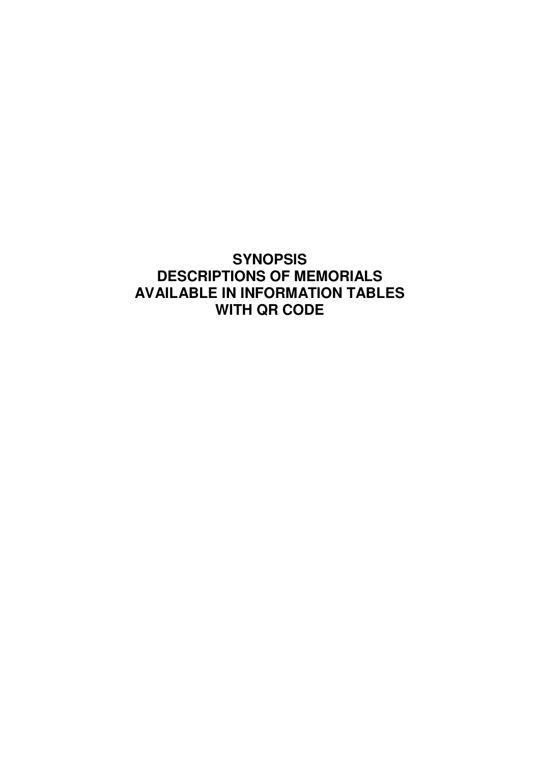# **SYNOPSIS DESCRIPTIONS OF MEMORIALS AVAILABLE IN INFORMATION TABLES WITH QR CODE**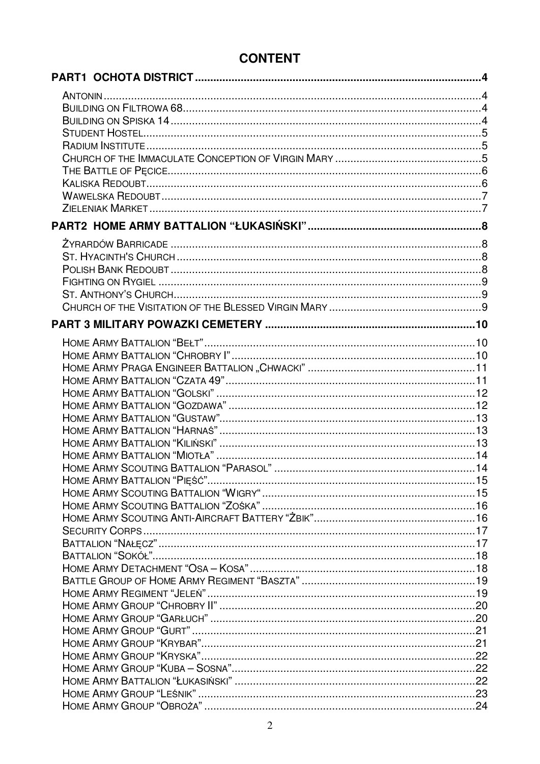# **CONTENT**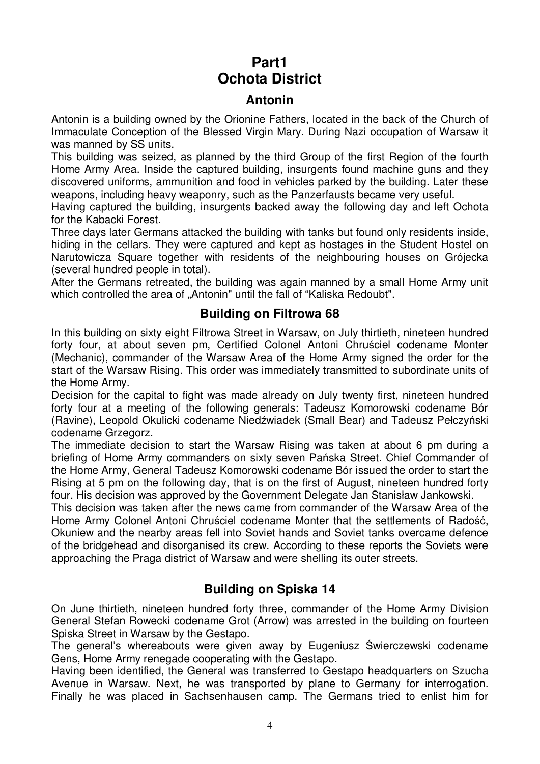# **Part1 Ochota District**

#### **Antonin**

Antonin is a building owned by the Orionine Fathers, located in the back of the Church of Immaculate Conception of the Blessed Virgin Mary. During Nazi occupation of Warsaw it was manned by SS units.

This building was seized, as planned by the third Group of the first Region of the fourth Home Army Area. Inside the captured building, insurgents found machine guns and they discovered uniforms, ammunition and food in vehicles parked by the building. Later these weapons, including heavy weaponry, such as the Panzerfausts became very useful.

Having captured the building, insurgents backed away the following day and left Ochota for the Kabacki Forest.

Three days later Germans attacked the building with tanks but found only residents inside, hiding in the cellars. They were captured and kept as hostages in the Student Hostel on Narutowicza Square together with residents of the neighbouring houses on Grójecka (several hundred people in total).

After the Germans retreated, the building was again manned by a small Home Army unit which controlled the area of "Antonin" until the fall of "Kaliska Redoubt".

#### **Building on Filtrowa 68**

In this building on sixty eight Filtrowa Street in Warsaw, on July thirtieth, nineteen hundred forty four, at about seven pm, Certified Colonel Antoni Chruściel codename Monter (Mechanic), commander of the Warsaw Area of the Home Army signed the order for the start of the Warsaw Rising. This order was immediately transmitted to subordinate units of the Home Army.

Decision for the capital to fight was made already on July twenty first, nineteen hundred forty four at a meeting of the following generals: Tadeusz Komorowski codename Bór (Ravine), Leopold Okulicki codename Niedźwiadek (Small Bear) and Tadeusz Pełczyński codename Grzegorz.

The immediate decision to start the Warsaw Rising was taken at about 6 pm during a briefing of Home Army commanders on sixty seven Pańska Street. Chief Commander of the Home Army, General Tadeusz Komorowski codename Bór issued the order to start the Rising at 5 pm on the following day, that is on the first of August, nineteen hundred forty four. His decision was approved by the Government Delegate Jan Stanisław Jankowski.

This decision was taken after the news came from commander of the Warsaw Area of the Home Army Colonel Antoni Chruściel codename Monter that the settlements of Radość, Okuniew and the nearby areas fell into Soviet hands and Soviet tanks overcame defence of the bridgehead and disorganised its crew. According to these reports the Soviets were approaching the Praga district of Warsaw and were shelling its outer streets.

#### **Building on Spiska 14**

On June thirtieth, nineteen hundred forty three, commander of the Home Army Division General Stefan Rowecki codename Grot (Arrow) was arrested in the building on fourteen Spiska Street in Warsaw by the Gestapo.

The general's whereabouts were given away by Eugeniusz Świerczewski codename Gens, Home Army renegade cooperating with the Gestapo.

Having been identified, the General was transferred to Gestapo headquarters on Szucha Avenue in Warsaw. Next, he was transported by plane to Germany for interrogation. Finally he was placed in Sachsenhausen camp. The Germans tried to enlist him for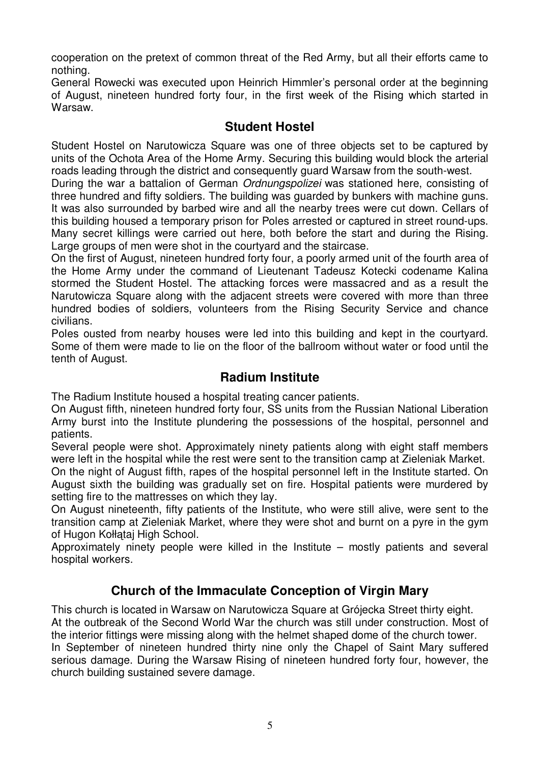cooperation on the pretext of common threat of the Red Army, but all their efforts came to nothing.

General Rowecki was executed upon Heinrich Himmler's personal order at the beginning of August, nineteen hundred forty four, in the first week of the Rising which started in Warsaw.

#### **Student Hostel**

Student Hostel on Narutowicza Square was one of three objects set to be captured by units of the Ochota Area of the Home Army. Securing this building would block the arterial roads leading through the district and consequently guard Warsaw from the south-west.

During the war a battalion of German Ordnungspolizei was stationed here, consisting of three hundred and fifty soldiers. The building was guarded by bunkers with machine guns. It was also surrounded by barbed wire and all the nearby trees were cut down. Cellars of this building housed a temporary prison for Poles arrested or captured in street round-ups. Many secret killings were carried out here, both before the start and during the Rising. Large groups of men were shot in the courtyard and the staircase.

On the first of August, nineteen hundred forty four, a poorly armed unit of the fourth area of the Home Army under the command of Lieutenant Tadeusz Kotecki codename Kalina stormed the Student Hostel. The attacking forces were massacred and as a result the Narutowicza Square along with the adjacent streets were covered with more than three hundred bodies of soldiers, volunteers from the Rising Security Service and chance civilians.

Poles ousted from nearby houses were led into this building and kept in the courtyard. Some of them were made to lie on the floor of the ballroom without water or food until the tenth of August.

#### **Radium Institute**

The Radium Institute housed a hospital treating cancer patients.

On August fifth, nineteen hundred forty four, SS units from the Russian National Liberation Army burst into the Institute plundering the possessions of the hospital, personnel and patients.

Several people were shot. Approximately ninety patients along with eight staff members were left in the hospital while the rest were sent to the transition camp at Zieleniak Market.

On the night of August fifth, rapes of the hospital personnel left in the Institute started. On August sixth the building was gradually set on fire. Hospital patients were murdered by setting fire to the mattresses on which they lay.

On August nineteenth, fifty patients of the Institute, who were still alive, were sent to the transition camp at Zieleniak Market, where they were shot and burnt on a pyre in the gym of Hugon Kołłątaj High School.

Approximately ninety people were killed in the Institute – mostly patients and several hospital workers.

#### **Church of the Immaculate Conception of Virgin Mary**

This church is located in Warsaw on Narutowicza Square at Grójecka Street thirty eight. At the outbreak of the Second World War the church was still under construction. Most of the interior fittings were missing along with the helmet shaped dome of the church tower. In September of nineteen hundred thirty nine only the Chapel of Saint Mary suffered serious damage. During the Warsaw Rising of nineteen hundred forty four, however, the church building sustained severe damage.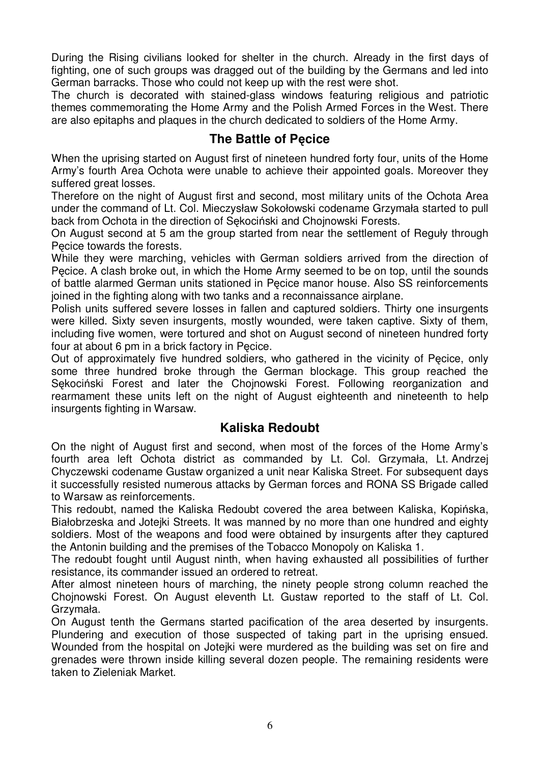During the Rising civilians looked for shelter in the church. Already in the first days of fighting, one of such groups was dragged out of the building by the Germans and led into German barracks. Those who could not keep up with the rest were shot.

The church is decorated with stained-glass windows featuring religious and patriotic themes commemorating the Home Army and the Polish Armed Forces in the West. There are also epitaphs and plaques in the church dedicated to soldiers of the Home Army.

#### **The Battle of Pęcice**

When the uprising started on August first of nineteen hundred forty four, units of the Home Army's fourth Area Ochota were unable to achieve their appointed goals. Moreover they suffered great losses.

Therefore on the night of August first and second, most military units of the Ochota Area under the command of Lt. Col. Mieczysław Sokołowski codename Grzymała started to pull back from Ochota in the direction of Sękociński and Chojnowski Forests.

On August second at 5 am the group started from near the settlement of Reguły through Pęcice towards the forests.

While they were marching, vehicles with German soldiers arrived from the direction of Pęcice. A clash broke out, in which the Home Army seemed to be on top, until the sounds of battle alarmed German units stationed in Pęcice manor house. Also SS reinforcements joined in the fighting along with two tanks and a reconnaissance airplane.

Polish units suffered severe losses in fallen and captured soldiers. Thirty one insurgents were killed. Sixty seven insurgents, mostly wounded, were taken captive. Sixty of them, including five women, were tortured and shot on August second of nineteen hundred forty four at about 6 pm in a brick factory in Pecice.

Out of approximately five hundred soldiers, who gathered in the vicinity of Pęcice, only some three hundred broke through the German blockage. This group reached the Sękociński Forest and later the Chojnowski Forest. Following reorganization and rearmament these units left on the night of August eighteenth and nineteenth to help insurgents fighting in Warsaw.

#### **Kaliska Redoubt**

On the night of August first and second, when most of the forces of the Home Army's fourth area left Ochota district as commanded by Lt. Col. Grzymała, Lt. Andrzej Chyczewski codename Gustaw organized a unit near Kaliska Street. For subsequent days it successfully resisted numerous attacks by German forces and RONA SS Brigade called to Warsaw as reinforcements.

This redoubt, named the Kaliska Redoubt covered the area between Kaliska, Kopińska, Białobrzeska and Jotejki Streets. It was manned by no more than one hundred and eighty soldiers. Most of the weapons and food were obtained by insurgents after they captured the Antonin building and the premises of the Tobacco Monopoly on Kaliska 1.

The redoubt fought until August ninth, when having exhausted all possibilities of further resistance, its commander issued an ordered to retreat.

After almost nineteen hours of marching, the ninety people strong column reached the Chojnowski Forest. On August eleventh Lt. Gustaw reported to the staff of Lt. Col. Grzymała.

On August tenth the Germans started pacification of the area deserted by insurgents. Plundering and execution of those suspected of taking part in the uprising ensued. Wounded from the hospital on Jotejki were murdered as the building was set on fire and grenades were thrown inside killing several dozen people. The remaining residents were taken to Zieleniak Market.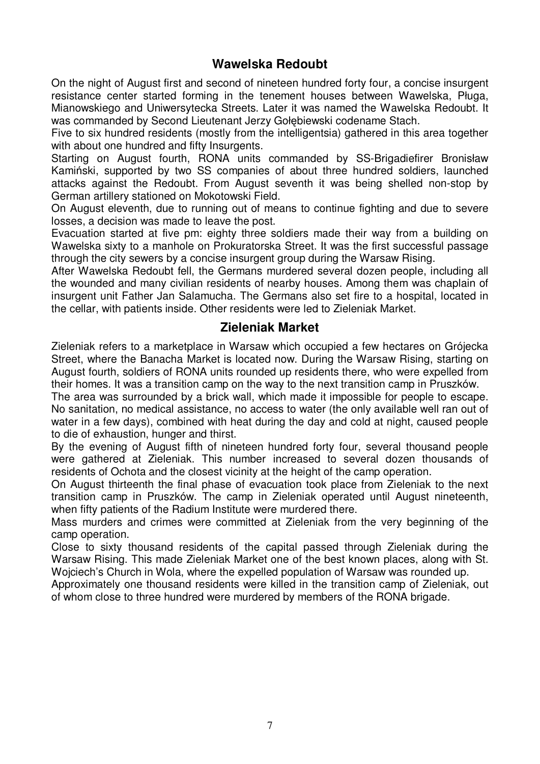#### **Wawelska Redoubt**

On the night of August first and second of nineteen hundred forty four, a concise insurgent resistance center started forming in the tenement houses between Wawelska, Pługa, Mianowskiego and Uniwersytecka Streets. Later it was named the Wawelska Redoubt. It was commanded by Second Lieutenant Jerzy Gołębiewski codename Stach.

Five to six hundred residents (mostly from the intelligentsia) gathered in this area together with about one hundred and fifty Insurgents.

Starting on August fourth, RONA units commanded by SS-Brigadiefirer Bronisław Kamiński, supported by two SS companies of about three hundred soldiers, launched attacks against the Redoubt. From August seventh it was being shelled non-stop by German artillery stationed on Mokotowski Field.

On August eleventh, due to running out of means to continue fighting and due to severe losses, a decision was made to leave the post.

Evacuation started at five pm: eighty three soldiers made their way from a building on Wawelska sixty to a manhole on Prokuratorska Street. It was the first successful passage through the city sewers by a concise insurgent group during the Warsaw Rising.

After Wawelska Redoubt fell, the Germans murdered several dozen people, including all the wounded and many civilian residents of nearby houses. Among them was chaplain of insurgent unit Father Jan Salamucha. The Germans also set fire to a hospital, located in the cellar, with patients inside. Other residents were led to Zieleniak Market.

#### **Zieleniak Market**

Zieleniak refers to a marketplace in Warsaw which occupied a few hectares on Grójecka Street, where the Banacha Market is located now. During the Warsaw Rising, starting on August fourth, soldiers of RONA units rounded up residents there, who were expelled from their homes. It was a transition camp on the way to the next transition camp in Pruszków.

The area was surrounded by a brick wall, which made it impossible for people to escape. No sanitation, no medical assistance, no access to water (the only available well ran out of water in a few days), combined with heat during the day and cold at night, caused people to die of exhaustion, hunger and thirst.

By the evening of August fifth of nineteen hundred forty four, several thousand people were gathered at Zieleniak. This number increased to several dozen thousands of residents of Ochota and the closest vicinity at the height of the camp operation.

On August thirteenth the final phase of evacuation took place from Zieleniak to the next transition camp in Pruszków. The camp in Zieleniak operated until August nineteenth, when fifty patients of the Radium Institute were murdered there.

Mass murders and crimes were committed at Zieleniak from the very beginning of the camp operation.

Close to sixty thousand residents of the capital passed through Zieleniak during the Warsaw Rising. This made Zieleniak Market one of the best known places, along with St. Wojciech's Church in Wola, where the expelled population of Warsaw was rounded up.

Approximately one thousand residents were killed in the transition camp of Zieleniak, out of whom close to three hundred were murdered by members of the RONA brigade.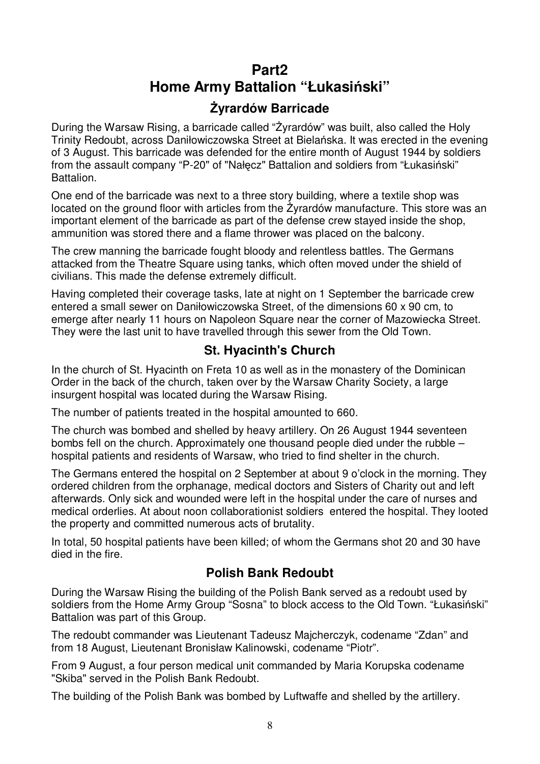# **Part2 Home Army Battalion "Łukasiński"**

# **śyrardów Barricade**

During the Warsaw Rising, a barricade called "Żyrardów" was built, also called the Holy Trinity Redoubt, across Daniłowiczowska Street at Bielańska. It was erected in the evening of 3 August. This barricade was defended for the entire month of August 1944 by soldiers from the assault company "P-20" of "Nałęcz" Battalion and soldiers from "Łukasiński" Battalion.

One end of the barricade was next to a three story building, where a textile shop was located on the ground floor with articles from the Żyrardów manufacture. This store was an important element of the barricade as part of the defense crew stayed inside the shop, ammunition was stored there and a flame thrower was placed on the balcony.

The crew manning the barricade fought bloody and relentless battles. The Germans attacked from the Theatre Square using tanks, which often moved under the shield of civilians. This made the defense extremely difficult.

Having completed their coverage tasks, late at night on 1 September the barricade crew entered a small sewer on Daniłowiczowska Street, of the dimensions 60 x 90 cm, to emerge after nearly 11 hours on Napoleon Square near the corner of Mazowiecka Street. They were the last unit to have travelled through this sewer from the Old Town.

# **St. Hyacinth's Church**

In the church of St. Hyacinth on Freta 10 as well as in the monastery of the Dominican Order in the back of the church, taken over by the Warsaw Charity Society, a large insurgent hospital was located during the Warsaw Rising.

The number of patients treated in the hospital amounted to 660.

The church was bombed and shelled by heavy artillery. On 26 August 1944 seventeen bombs fell on the church. Approximately one thousand people died under the rubble – hospital patients and residents of Warsaw, who tried to find shelter in the church.

The Germans entered the hospital on 2 September at about 9 o'clock in the morning. They ordered children from the orphanage, medical doctors and Sisters of Charity out and left afterwards. Only sick and wounded were left in the hospital under the care of nurses and medical orderlies. At about noon collaborationist soldiers entered the hospital. They looted the property and committed numerous acts of brutality.

In total, 50 hospital patients have been killed; of whom the Germans shot 20 and 30 have died in the fire.

# **Polish Bank Redoubt**

During the Warsaw Rising the building of the Polish Bank served as a redoubt used by soldiers from the Home Army Group "Sosna" to block access to the Old Town. "Łukasiński" Battalion was part of this Group.

The redoubt commander was Lieutenant Tadeusz Majcherczyk, codename "Zdan" and from 18 August, Lieutenant Bronisław Kalinowski, codename "Piotr".

From 9 August, a four person medical unit commanded by Maria Korupska codename "Skiba" served in the Polish Bank Redoubt.

The building of the Polish Bank was bombed by Luftwaffe and shelled by the artillery.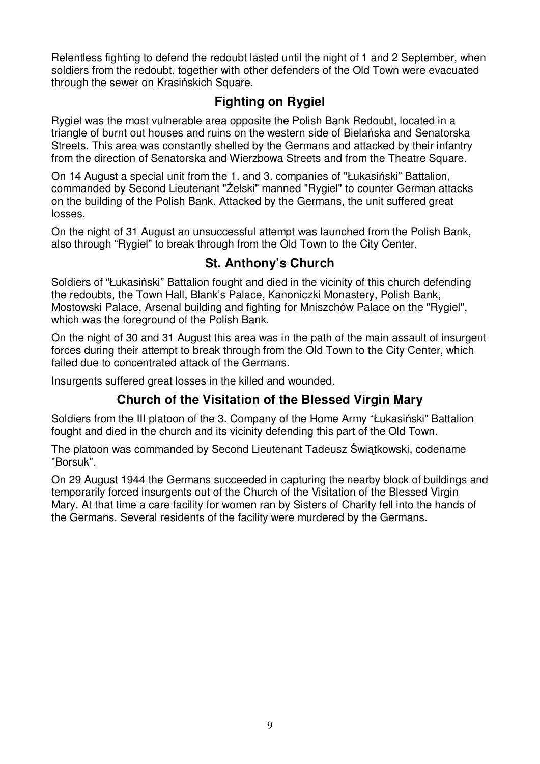Relentless fighting to defend the redoubt lasted until the night of 1 and 2 September, when soldiers from the redoubt, together with other defenders of the Old Town were evacuated through the sewer on Krasińskich Square.

# **Fighting on Rygiel**

Rygiel was the most vulnerable area opposite the Polish Bank Redoubt, located in a triangle of burnt out houses and ruins on the western side of Bielańska and Senatorska Streets. This area was constantly shelled by the Germans and attacked by their infantry from the direction of Senatorska and Wierzbowa Streets and from the Theatre Square.

On 14 August a special unit from the 1. and 3. companies of "Łukasiński" Battalion, commanded by Second Lieutenant "Żelski" manned "Rygiel" to counter German attacks on the building of the Polish Bank. Attacked by the Germans, the unit suffered great losses.

On the night of 31 August an unsuccessful attempt was launched from the Polish Bank, also through "Rygiel" to break through from the Old Town to the City Center.

### **St. Anthony's Church**

Soldiers of "Łukasiński" Battalion fought and died in the vicinity of this church defending the redoubts, the Town Hall, Blank's Palace, Kanoniczki Monastery, Polish Bank, Mostowski Palace, Arsenal building and fighting for Mniszchów Palace on the "Rygiel", which was the foreground of the Polish Bank.

On the night of 30 and 31 August this area was in the path of the main assault of insurgent forces during their attempt to break through from the Old Town to the City Center, which failed due to concentrated attack of the Germans.

Insurgents suffered great losses in the killed and wounded.

# **Church of the Visitation of the Blessed Virgin Mary**

Soldiers from the III platoon of the 3. Company of the Home Army "Łukasiński" Battalion fought and died in the church and its vicinity defending this part of the Old Town.

The platoon was commanded by Second Lieutenant Tadeusz Świątkowski, codename "Borsuk".

On 29 August 1944 the Germans succeeded in capturing the nearby block of buildings and temporarily forced insurgents out of the Church of the Visitation of the Blessed Virgin Mary. At that time a care facility for women ran by Sisters of Charity fell into the hands of the Germans. Several residents of the facility were murdered by the Germans.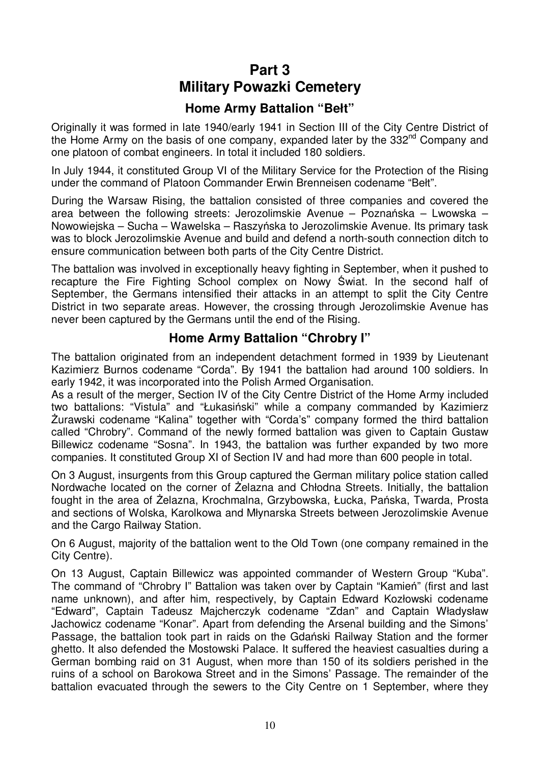# **Part 3 Military Powazki Cemetery**

### **Home Army Battalion "Bełt"**

Originally it was formed in late 1940/early 1941 in Section III of the City Centre District of the Home Army on the basis of one company, expanded later by the 332<sup>nd</sup> Company and one platoon of combat engineers. In total it included 180 soldiers.

In July 1944, it constituted Group VI of the Military Service for the Protection of the Rising under the command of Platoon Commander Erwin Brenneisen codename "Bełt".

During the Warsaw Rising, the battalion consisted of three companies and covered the area between the following streets: Jerozolimskie Avenue – Poznańska – Lwowska – Nowowiejska – Sucha – Wawelska – Raszyńska to Jerozolimskie Avenue. Its primary task was to block Jerozolimskie Avenue and build and defend a north-south connection ditch to ensure communication between both parts of the City Centre District.

The battalion was involved in exceptionally heavy fighting in September, when it pushed to recapture the Fire Fighting School complex on Nowy Świat. In the second half of September, the Germans intensified their attacks in an attempt to split the City Centre District in two separate areas. However, the crossing through Jerozolimskie Avenue has never been captured by the Germans until the end of the Rising.

#### **Home Army Battalion "Chrobry I"**

The battalion originated from an independent detachment formed in 1939 by Lieutenant Kazimierz Burnos codename "Corda". By 1941 the battalion had around 100 soldiers. In early 1942, it was incorporated into the Polish Armed Organisation.

As a result of the merger, Section IV of the City Centre District of the Home Army included two battalions: "Vistula" and "Łukasiński" while a company commanded by Kazimierz Żurawski codename "Kalina" together with "Corda's" company formed the third battalion called "Chrobry". Command of the newly formed battalion was given to Captain Gustaw Billewicz codename "Sosna". In 1943, the battalion was further expanded by two more companies. It constituted Group XI of Section IV and had more than 600 people in total.

On 3 August, insurgents from this Group captured the German military police station called Nordwache located on the corner of Żelazna and Chłodna Streets. Initially, the battalion fought in the area of Żelazna, Krochmalna, Grzybowska, Łucka, Pańska, Twarda, Prosta and sections of Wolska, Karolkowa and Młynarska Streets between Jerozolimskie Avenue and the Cargo Railway Station.

On 6 August, majority of the battalion went to the Old Town (one company remained in the City Centre).

On 13 August, Captain Billewicz was appointed commander of Western Group "Kuba". The command of "Chrobry I" Battalion was taken over by Captain "Kamień" (first and last name unknown), and after him, respectively, by Captain Edward Kozłowski codename "Edward", Captain Tadeusz Majcherczyk codename "Zdan" and Captain Władysław Jachowicz codename "Konar". Apart from defending the Arsenal building and the Simons' Passage, the battalion took part in raids on the Gdański Railway Station and the former ghetto. It also defended the Mostowski Palace. It suffered the heaviest casualties during a German bombing raid on 31 August, when more than 150 of its soldiers perished in the ruins of a school on Barokowa Street and in the Simons' Passage. The remainder of the battalion evacuated through the sewers to the City Centre on 1 September, where they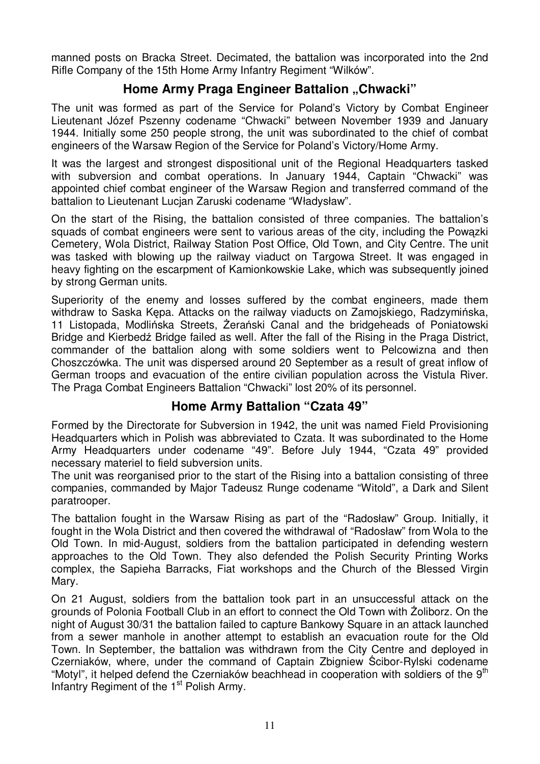manned posts on Bracka Street. Decimated, the battalion was incorporated into the 2nd Rifle Company of the 15th Home Army Infantry Regiment "Wilków".

#### **Home Army Praga Engineer Battalion "Chwacki"**

The unit was formed as part of the Service for Poland's Victory by Combat Engineer Lieutenant Józef Pszenny codename "Chwacki" between November 1939 and January 1944. Initially some 250 people strong, the unit was subordinated to the chief of combat engineers of the Warsaw Region of the Service for Poland's Victory/Home Army.

It was the largest and strongest dispositional unit of the Regional Headquarters tasked with subversion and combat operations. In January 1944, Captain "Chwacki" was appointed chief combat engineer of the Warsaw Region and transferred command of the battalion to Lieutenant Lucjan Zaruski codename "Władysław".

On the start of the Rising, the battalion consisted of three companies. The battalion's squads of combat engineers were sent to various areas of the city, including the Powązki Cemetery, Wola District, Railway Station Post Office, Old Town, and City Centre. The unit was tasked with blowing up the railway viaduct on Targowa Street. It was engaged in heavy fighting on the escarpment of Kamionkowskie Lake, which was subsequently joined by strong German units.

Superiority of the enemy and losses suffered by the combat engineers, made them withdraw to Saska Kępa. Attacks on the railway viaducts on Zamojskiego, Radzymińska, 11 Listopada, Modlińska Streets, Żerański Canal and the bridgeheads of Poniatowski Bridge and Kierbedź Bridge failed as well. After the fall of the Rising in the Praga District, commander of the battalion along with some soldiers went to Pelcowizna and then Choszczówka. The unit was dispersed around 20 September as a result of great inflow of German troops and evacuation of the entire civilian population across the Vistula River. The Praga Combat Engineers Battalion "Chwacki" lost 20% of its personnel.

#### **Home Army Battalion "Czata 49"**

Formed by the Directorate for Subversion in 1942, the unit was named Field Provisioning Headquarters which in Polish was abbreviated to Czata. It was subordinated to the Home Army Headquarters under codename "49". Before July 1944, "Czata 49" provided necessary materiel to field subversion units.

The unit was reorganised prior to the start of the Rising into a battalion consisting of three companies, commanded by Major Tadeusz Runge codename "Witold", a Dark and Silent paratrooper.

The battalion fought in the Warsaw Rising as part of the "Radosław" Group. Initially, it fought in the Wola District and then covered the withdrawal of "Radosław" from Wola to the Old Town. In mid-August, soldiers from the battalion participated in defending western approaches to the Old Town. They also defended the Polish Security Printing Works complex, the Sapieha Barracks, Fiat workshops and the Church of the Blessed Virgin Mary.

On 21 August, soldiers from the battalion took part in an unsuccessful attack on the grounds of Polonia Football Club in an effort to connect the Old Town with Żoliborz. On the night of August 30/31 the battalion failed to capture Bankowy Square in an attack launched from a sewer manhole in another attempt to establish an evacuation route for the Old Town. In September, the battalion was withdrawn from the City Centre and deployed in Czerniaków, where, under the command of Captain Zbigniew Ścibor-Rylski codename "Motyl", it helped defend the Czerniaków beachhead in cooperation with soldiers of the  $9<sup>th</sup>$ Infantry Regiment of the 1<sup>st</sup> Polish Army.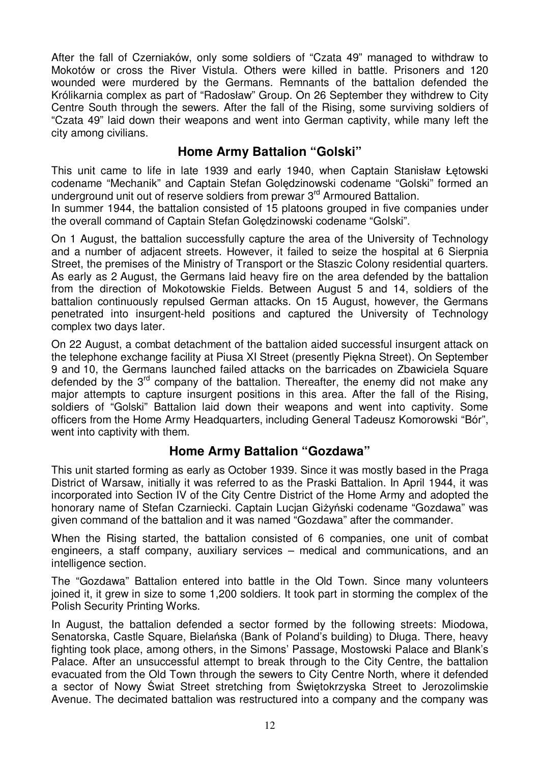After the fall of Czerniaków, only some soldiers of "Czata 49" managed to withdraw to Mokotów or cross the River Vistula. Others were killed in battle. Prisoners and 120 wounded were murdered by the Germans. Remnants of the battalion defended the Królikarnia complex as part of "Radosław" Group. On 26 September they withdrew to City Centre South through the sewers. After the fall of the Rising, some surviving soldiers of "Czata 49" laid down their weapons and went into German captivity, while many left the city among civilians.

#### **Home Army Battalion "Golski"**

This unit came to life in late 1939 and early 1940, when Captain Stanisław Łętowski codename "Mechanik" and Captain Stefan Golędzinowski codename "Golski" formed an underground unit out of reserve soldiers from prewar 3<sup>rd</sup> Armoured Battalion.

In summer 1944, the battalion consisted of 15 platoons grouped in five companies under the overall command of Captain Stefan Golędzinowski codename "Golski".

On 1 August, the battalion successfully capture the area of the University of Technology and a number of adjacent streets. However, it failed to seize the hospital at 6 Sierpnia Street, the premises of the Ministry of Transport or the Staszic Colony residential quarters. As early as 2 August, the Germans laid heavy fire on the area defended by the battalion from the direction of Mokotowskie Fields. Between August 5 and 14, soldiers of the battalion continuously repulsed German attacks. On 15 August, however, the Germans penetrated into insurgent-held positions and captured the University of Technology complex two days later.

On 22 August, a combat detachment of the battalion aided successful insurgent attack on the telephone exchange facility at Piusa XI Street (presently Piękna Street). On September 9 and 10, the Germans launched failed attacks on the barricades on Zbawiciela Square defended by the  $3<sup>rd</sup>$  company of the battalion. Thereafter, the enemy did not make any major attempts to capture insurgent positions in this area. After the fall of the Rising, soldiers of "Golski" Battalion laid down their weapons and went into captivity. Some officers from the Home Army Headquarters, including General Tadeusz Komorowski "Bór", went into captivity with them.

#### **Home Army Battalion "Gozdawa"**

This unit started forming as early as October 1939. Since it was mostly based in the Praga District of Warsaw, initially it was referred to as the Praski Battalion. In April 1944, it was incorporated into Section IV of the City Centre District of the Home Army and adopted the honorary name of Stefan Czarniecki. Captain Lucian Giżyński codename "Gozdawa" was given command of the battalion and it was named "Gozdawa" after the commander.

When the Rising started, the battalion consisted of 6 companies, one unit of combat engineers, a staff company, auxiliary services – medical and communications, and an intelligence section.

The "Gozdawa" Battalion entered into battle in the Old Town. Since many volunteers joined it, it grew in size to some 1,200 soldiers. It took part in storming the complex of the Polish Security Printing Works.

In August, the battalion defended a sector formed by the following streets: Miodowa, Senatorska, Castle Square, Bielańska (Bank of Poland's building) to Długa. There, heavy fighting took place, among others, in the Simons' Passage, Mostowski Palace and Blank's Palace. After an unsuccessful attempt to break through to the City Centre, the battalion evacuated from the Old Town through the sewers to City Centre North, where it defended a sector of Nowy Świat Street stretching from Świętokrzyska Street to Jerozolimskie Avenue. The decimated battalion was restructured into a company and the company was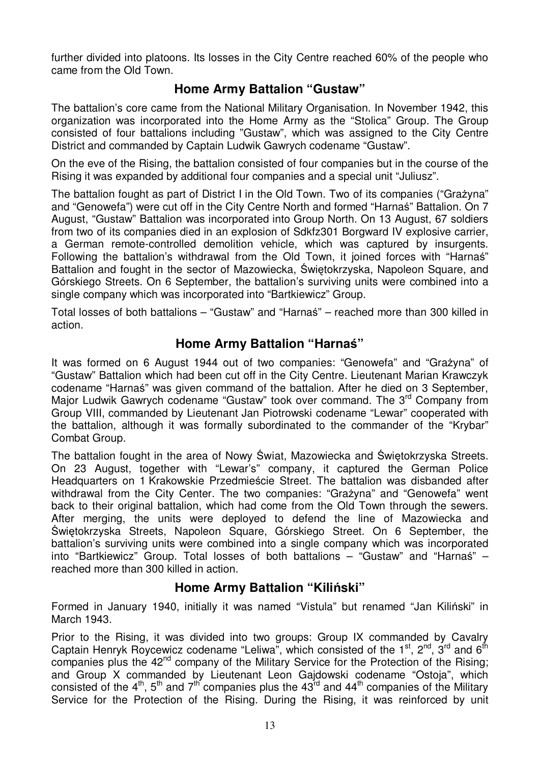further divided into platoons. Its losses in the City Centre reached 60% of the people who came from the Old Town.

#### **Home Army Battalion "Gustaw"**

The battalion's core came from the National Military Organisation. In November 1942, this organization was incorporated into the Home Army as the "Stolica" Group. The Group consisted of four battalions including "Gustaw", which was assigned to the City Centre District and commanded by Captain Ludwik Gawrych codename "Gustaw".

On the eve of the Rising, the battalion consisted of four companies but in the course of the Rising it was expanded by additional four companies and a special unit "Juliusz".

The battalion fought as part of District I in the Old Town. Two of its companies ("Grażyna" and "Genowefa") were cut off in the City Centre North and formed "Harnaś" Battalion. On 7 August, "Gustaw" Battalion was incorporated into Group North. On 13 August, 67 soldiers from two of its companies died in an explosion of Sdkfz301 Borgward IV explosive carrier, a German remote-controlled demolition vehicle, which was captured by insurgents. Following the battalion's withdrawal from the Old Town, it joined forces with "Harnaś" Battalion and fought in the sector of Mazowiecka, Świętokrzyska, Napoleon Square, and Górskiego Streets. On 6 September, the battalion's surviving units were combined into a single company which was incorporated into "Bartkiewicz" Group.

Total losses of both battalions – "Gustaw" and "Harnaś" – reached more than 300 killed in action.

#### **Home Army Battalion "Harnaś"**

It was formed on 6 August 1944 out of two companies: "Genowefa" and "Grażyna" of "Gustaw" Battalion which had been cut off in the City Centre. Lieutenant Marian Krawczyk codename "Harnaś" was given command of the battalion. After he died on 3 September, Major Ludwik Gawrych codename "Gustaw" took over command. The 3<sup>rd</sup> Company from Group VIII, commanded by Lieutenant Jan Piotrowski codename "Lewar" cooperated with the battalion, although it was formally subordinated to the commander of the "Krybar" Combat Group.

The battalion fought in the area of Nowy Świat, Mazowiecka and Świętokrzyska Streets. On 23 August, together with "Lewar's" company, it captured the German Police Headquarters on 1 Krakowskie Przedmieście Street. The battalion was disbanded after withdrawal from the City Center. The two companies: "Grażyna" and "Genowefa" went back to their original battalion, which had come from the Old Town through the sewers. After merging, the units were deployed to defend the line of Mazowiecka and Świętokrzyska Streets, Napoleon Square, Górskiego Street. On 6 September, the battalion's surviving units were combined into a single company which was incorporated into "Bartkiewicz" Group. Total losses of both battalions – "Gustaw" and "Harnaś" – reached more than 300 killed in action.

#### **Home Army Battalion "Kiliński"**

Formed in January 1940, initially it was named "Vistula" but renamed "Jan Kiliński" in March 1943.

Prior to the Rising, it was divided into two groups: Group IX commanded by Cavalry Captain Henryk Roycewicz codename "Leliwa", which consisted of the  $1<sup>st</sup>$ ,  $2<sup>nd</sup>$ ,  $3<sup>rd</sup>$  and  $6<sup>th</sup>$ companies plus the 42<sup>nd</sup> company of the Military Service for the Protection of the Rising; and Group X commanded by Lieutenant Leon Gajdowski codename "Ostoja", which consisted of the  $4<sup>th</sup>$ ,  $5<sup>th</sup>$  and  $7<sup>th</sup>$  companies plus the  $43<sup>rd</sup>$  and  $44<sup>th</sup>$  companies of the Military Service for the Protection of the Rising. During the Rising, it was reinforced by unit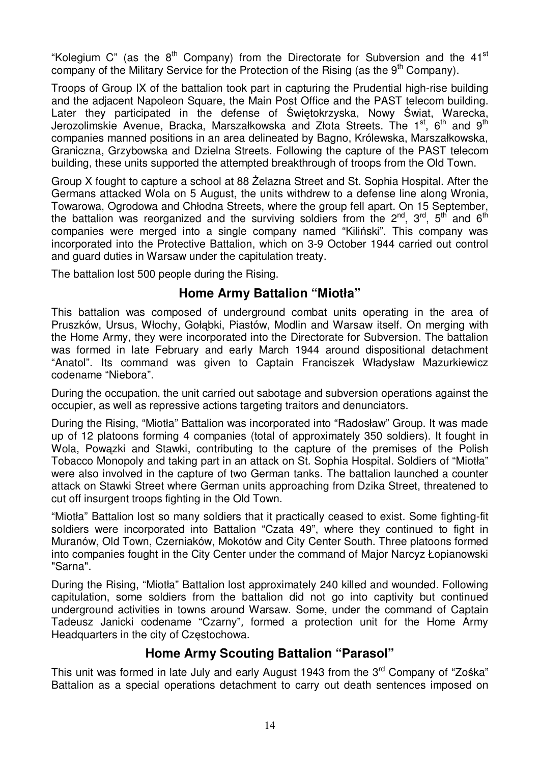"Kolegium C" (as the  $8<sup>th</sup>$  Company) from the Directorate for Subversion and the 41<sup>st</sup> company of the Military Service for the Protection of the Rising (as the  $9<sup>th</sup>$  Company).

Troops of Group IX of the battalion took part in capturing the Prudential high-rise building and the adjacent Napoleon Square, the Main Post Office and the PAST telecom building. Later they participated in the defense of Świętokrzyska, Nowy Świat, Warecka, Jerozolimskie Avenue, Bracka, Marszałkowska and Złota Streets. The  $1<sup>st</sup>$ , 6<sup>th</sup> and 9<sup>th</sup> companies manned positions in an area delineated by Bagno, Królewska, Marszałkowska, Graniczna, Grzybowska and Dzielna Streets. Following the capture of the PAST telecom building, these units supported the attempted breakthrough of troops from the Old Town.

Group X fought to capture a school at 88 Żelazna Street and St. Sophia Hospital. After the Germans attacked Wola on 5 August, the units withdrew to a defense line along Wronia, Towarowa, Ogrodowa and Chłodna Streets, where the group fell apart. On 15 September, the battalion was reorganized and the surviving soldiers from the  $2^{nd}$ ,  $3^{rd}$ ,  $5^{th}$  and  $6^{th}$ companies were merged into a single company named "Kiliński". This company was incorporated into the Protective Battalion, which on 3-9 October 1944 carried out control and guard duties in Warsaw under the capitulation treaty.

The battalion lost 500 people during the Rising.

#### **Home Army Battalion "Miotła"**

This battalion was composed of underground combat units operating in the area of Pruszków, Ursus, Włochy, Gołąbki, Piastów, Modlin and Warsaw itself. On merging with the Home Army, they were incorporated into the Directorate for Subversion. The battalion was formed in late February and early March 1944 around dispositional detachment "Anatol". Its command was given to Captain Franciszek Władysław Mazurkiewicz codename "Niebora".

During the occupation, the unit carried out sabotage and subversion operations against the occupier, as well as repressive actions targeting traitors and denunciators.

During the Rising, "Miotła" Battalion was incorporated into "Radosław" Group. It was made up of 12 platoons forming 4 companies (total of approximately 350 soldiers). It fought in Wola, Powązki and Stawki, contributing to the capture of the premises of the Polish Tobacco Monopoly and taking part in an attack on St. Sophia Hospital. Soldiers of "Miotła" were also involved in the capture of two German tanks. The battalion launched a counter attack on Stawki Street where German units approaching from Dzika Street, threatened to cut off insurgent troops fighting in the Old Town.

"Miotła" Battalion lost so many soldiers that it practically ceased to exist. Some fighting-fit soldiers were incorporated into Battalion "Czata 49", where they continued to fight in Muranów, Old Town, Czerniaków, Mokotów and City Center South. Three platoons formed into companies fought in the City Center under the command of Major Narcyz Łopianowski "Sarna".

During the Rising, "Miotła" Battalion lost approximately 240 killed and wounded. Following capitulation, some soldiers from the battalion did not go into captivity but continued underground activities in towns around Warsaw. Some, under the command of Captain Tadeusz Janicki codename "Czarny", formed a protection unit for the Home Army Headquarters in the city of Częstochowa.

#### **Home Army Scouting Battalion "Parasol"**

This unit was formed in late July and early August 1943 from the 3<sup>rd</sup> Company of "Zośka" Battalion as a special operations detachment to carry out death sentences imposed on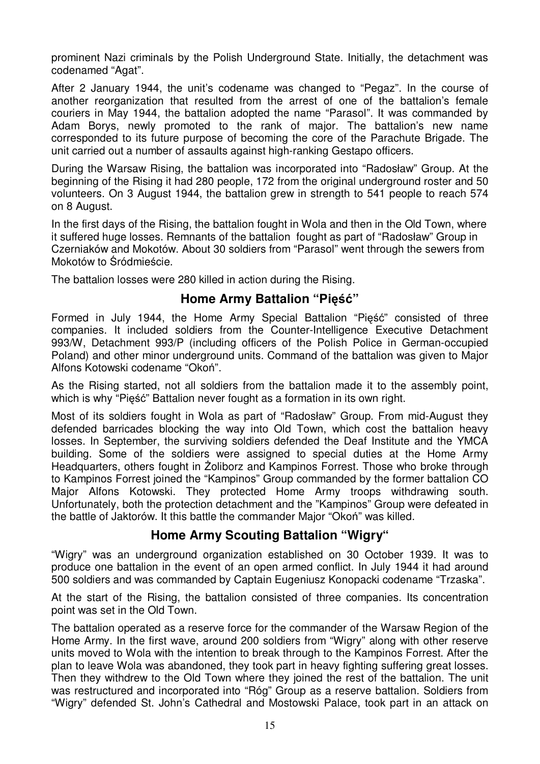prominent Nazi criminals by the Polish Underground State. Initially, the detachment was codenamed "Agat".

After 2 January 1944, the unit's codename was changed to "Pegaz". In the course of another reorganization that resulted from the arrest of one of the battalion's female couriers in May 1944, the battalion adopted the name "Parasol". It was commanded by Adam Borys, newly promoted to the rank of major. The battalion's new name corresponded to its future purpose of becoming the core of the Parachute Brigade. The unit carried out a number of assaults against high-ranking Gestapo officers.

During the Warsaw Rising, the battalion was incorporated into "Radosław" Group. At the beginning of the Rising it had 280 people, 172 from the original underground roster and 50 volunteers. On 3 August 1944, the battalion grew in strength to 541 people to reach 574 on 8 August.

In the first days of the Rising, the battalion fought in Wola and then in the Old Town, where it suffered huge losses. Remnants of the battalion fought as part of "Radosław" Group in Czerniaków and Mokotów. About 30 soldiers from "Parasol" went through the sewers from Mokotów to Śródmieście.

The battalion losses were 280 killed in action during the Rising.

#### **Home Army Battalion "Pięść"**

Formed in July 1944, the Home Army Special Battalion "Pięść" consisted of three companies. It included soldiers from the Counter-Intelligence Executive Detachment 993/W, Detachment 993/P (including officers of the Polish Police in German-occupied Poland) and other minor underground units. Command of the battalion was given to Major Alfons Kotowski codename "Okoń".

As the Rising started, not all soldiers from the battalion made it to the assembly point, which is why "Pięść" Battalion never fought as a formation in its own right.

Most of its soldiers fought in Wola as part of "Radosław" Group. From mid-August they defended barricades blocking the way into Old Town, which cost the battalion heavy losses. In September, the surviving soldiers defended the Deaf Institute and the YMCA building. Some of the soldiers were assigned to special duties at the Home Army Headquarters, others fought in Zoliborz and Kampinos Forrest. Those who broke through to Kampinos Forrest joined the "Kampinos" Group commanded by the former battalion CO Major Alfons Kotowski. They protected Home Army troops withdrawing south. Unfortunately, both the protection detachment and the "Kampinos" Group were defeated in the battle of Jaktorów. It this battle the commander Major "Okoń" was killed.

#### **Home Army Scouting Battalion "Wigry"**

"Wigry" was an underground organization established on 30 October 1939. It was to produce one battalion in the event of an open armed conflict. In July 1944 it had around 500 soldiers and was commanded by Captain Eugeniusz Konopacki codename "Trzaska".

At the start of the Rising, the battalion consisted of three companies. Its concentration point was set in the Old Town.

The battalion operated as a reserve force for the commander of the Warsaw Region of the Home Army. In the first wave, around 200 soldiers from "Wigry" along with other reserve units moved to Wola with the intention to break through to the Kampinos Forrest. After the plan to leave Wola was abandoned, they took part in heavy fighting suffering great losses. Then they withdrew to the Old Town where they joined the rest of the battalion. The unit was restructured and incorporated into "Róg" Group as a reserve battalion. Soldiers from "Wigry" defended St. John's Cathedral and Mostowski Palace, took part in an attack on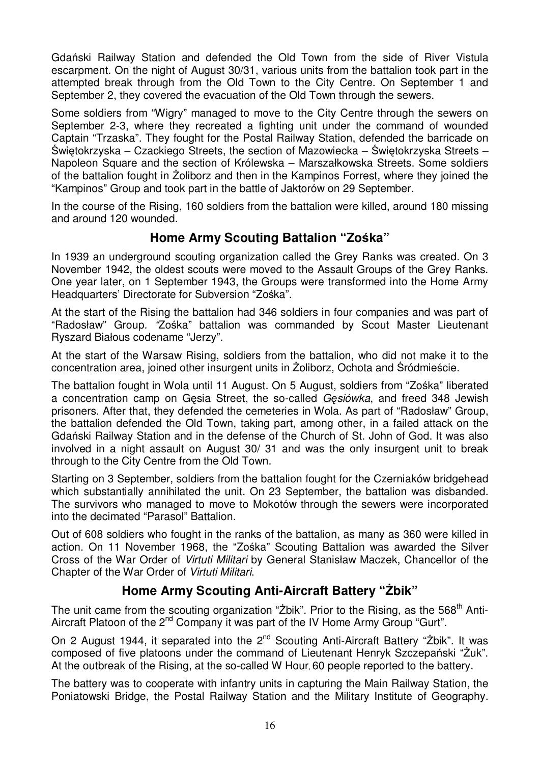Gdański Railway Station and defended the Old Town from the side of River Vistula escarpment. On the night of August 30/31, various units from the battalion took part in the attempted break through from the Old Town to the City Centre. On September 1 and September 2, they covered the evacuation of the Old Town through the sewers.

Some soldiers from "Wigry" managed to move to the City Centre through the sewers on September 2-3, where they recreated a fighting unit under the command of wounded Captain "Trzaska". They fought for the Postal Railway Station, defended the barricade on Świętokrzyska – Czackiego Streets, the section of Mazowiecka – Świętokrzyska Streets – Napoleon Square and the section of Królewska – Marszałkowska Streets. Some soldiers of the battalion fought in Zoliborz and then in the Kampinos Forrest, where they joined the "Kampinos" Group and took part in the battle of Jaktorów on 29 September.

In the course of the Rising, 160 soldiers from the battalion were killed, around 180 missing and around 120 wounded.

### **Home Army Scouting Battalion "Zośka"**

In 1939 an underground scouting organization called the Grey Ranks was created. On 3 November 1942, the oldest scouts were moved to the Assault Groups of the Grey Ranks. One year later, on 1 September 1943, the Groups were transformed into the Home Army Headquarters' Directorate for Subversion "Zośka".

At the start of the Rising the battalion had 346 soldiers in four companies and was part of "Radosław" Group. "Zośka" battalion was commanded by Scout Master Lieutenant Ryszard Białous codename "Jerzy".

At the start of the Warsaw Rising, soldiers from the battalion, who did not make it to the concentration area, joined other insurgent units in Żoliborz, Ochota and Śródmieście.

The battalion fought in Wola until 11 August. On 5 August, soldiers from "Zośka" liberated a concentration camp on Gęsia Street, the so-called G*ę*siówka, and freed 348 Jewish prisoners. After that, they defended the cemeteries in Wola. As part of "Radosław" Group, the battalion defended the Old Town, taking part, among other, in a failed attack on the Gdański Railway Station and in the defense of the Church of St. John of God. It was also involved in a night assault on August 30/ 31 and was the only insurgent unit to break through to the City Centre from the Old Town.

Starting on 3 September, soldiers from the battalion fought for the Czerniaków bridgehead which substantially annihilated the unit. On 23 September, the battalion was disbanded. The survivors who managed to move to Mokotów through the sewers were incorporated into the decimated "Parasol" Battalion.

Out of 608 soldiers who fought in the ranks of the battalion, as many as 360 were killed in action. On 11 November 1968, the "Zośka" Scouting Battalion was awarded the Silver Cross of the War Order of Virtuti Militari by General Stanisław Maczek, Chancellor of the Chapter of the War Order of Virtuti Militari.

#### **Home Army Scouting Anti-Aircraft Battery "śbik"**

The unit came from the scouting organization " $\bar{z}$ bik". Prior to the Rising, as the 568<sup>th</sup> Anti-Aircraft Platoon of the 2<sup>nd</sup> Company it was part of the IV Home Army Group "Gurt".

On 2 August 1944, it separated into the 2<sup>nd</sup> Scouting Anti-Aircraft Battery "Żbik". It was composed of five platoons under the command of Lieutenant Henryk Szczepański "Żuk". At the outbreak of the Rising, at the so-called W Hour, 60 people reported to the battery.

The battery was to cooperate with infantry units in capturing the Main Railway Station, the Poniatowski Bridge, the Postal Railway Station and the Military Institute of Geography.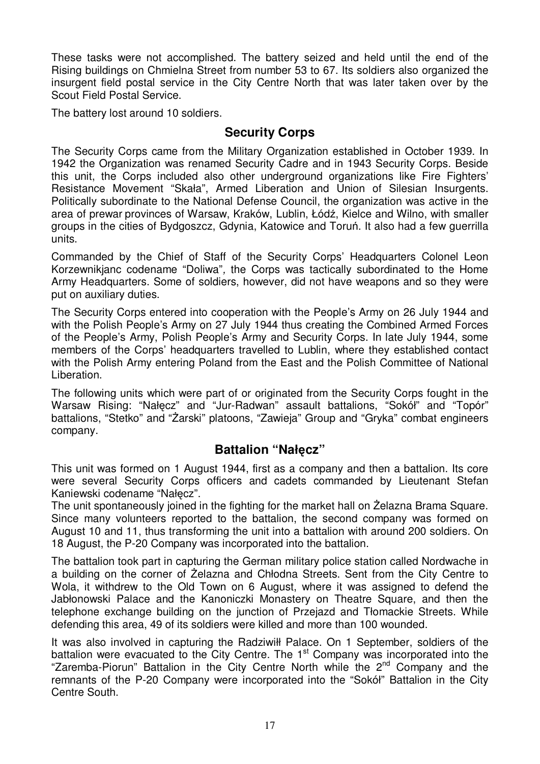These tasks were not accomplished. The battery seized and held until the end of the Rising buildings on Chmielna Street from number 53 to 67. Its soldiers also organized the insurgent field postal service in the City Centre North that was later taken over by the Scout Field Postal Service.

The battery lost around 10 soldiers.

#### **Security Corps**

The Security Corps came from the Military Organization established in October 1939. In 1942 the Organization was renamed Security Cadre and in 1943 Security Corps. Beside this unit, the Corps included also other underground organizations like Fire Fighters' Resistance Movement "Skała", Armed Liberation and Union of Silesian Insurgents. Politically subordinate to the National Defense Council, the organization was active in the area of prewar provinces of Warsaw, Kraków, Lublin, Łódź, Kielce and Wilno, with smaller groups in the cities of Bydgoszcz, Gdynia, Katowice and Toruń. It also had a few guerrilla units.

Commanded by the Chief of Staff of the Security Corps' Headquarters Colonel Leon Korzewnikjanc codename "Doliwa", the Corps was tactically subordinated to the Home Army Headquarters. Some of soldiers, however, did not have weapons and so they were put on auxiliary duties.

The Security Corps entered into cooperation with the People's Army on 26 July 1944 and with the Polish People's Army on 27 July 1944 thus creating the Combined Armed Forces of the People's Army, Polish People's Army and Security Corps. In late July 1944, some members of the Corps' headquarters travelled to Lublin, where they established contact with the Polish Army entering Poland from the East and the Polish Committee of National Liberation.

The following units which were part of or originated from the Security Corps fought in the Warsaw Rising: "Nałęcz" and "Jur-Radwan" assault battalions, "Sokół" and "Topór" battalions, "Stetko" and "Żarski" platoons, "Zawieja" Group and "Gryka" combat engineers company.

#### **Battalion "Nałęcz"**

This unit was formed on 1 August 1944, first as a company and then a battalion. Its core were several Security Corps officers and cadets commanded by Lieutenant Stefan Kaniewski codename "Nałęcz".

The unit spontaneously joined in the fighting for the market hall on Żelazna Brama Square. Since many volunteers reported to the battalion, the second company was formed on August 10 and 11, thus transforming the unit into a battalion with around 200 soldiers. On 18 August, the P-20 Company was incorporated into the battalion.

The battalion took part in capturing the German military police station called Nordwache in a building on the corner of Żelazna and Chłodna Streets. Sent from the City Centre to Wola, it withdrew to the Old Town on 6 August, where it was assigned to defend the Jabłonowski Palace and the Kanoniczki Monastery on Theatre Square, and then the telephone exchange building on the junction of Przejazd and Tłomackie Streets. While defending this area, 49 of its soldiers were killed and more than 100 wounded.

It was also involved in capturing the Radziwiłł Palace. On 1 September, soldiers of the battalion were evacuated to the City Centre. The  $1<sup>st</sup>$  Company was incorporated into the "Zaremba-Piorun" Battalion in the City Centre North while the 2<sup>nd</sup> Company and the remnants of the P-20 Company were incorporated into the "Sokół" Battalion in the City Centre South.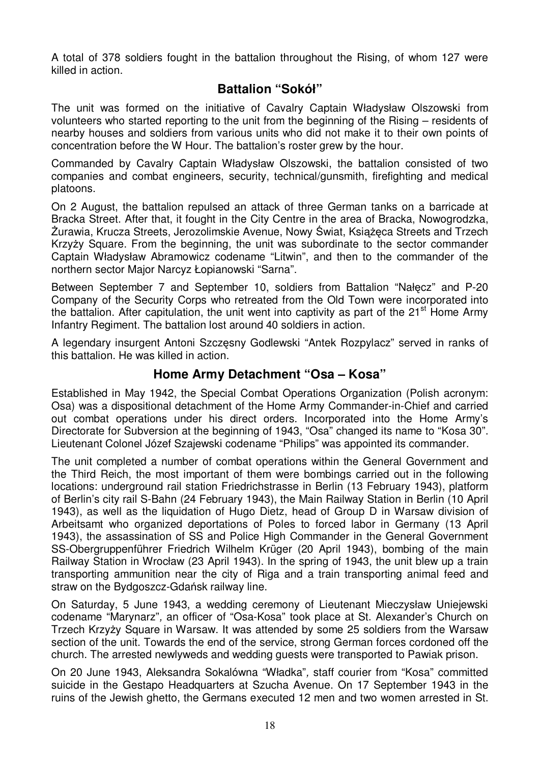A total of 378 soldiers fought in the battalion throughout the Rising, of whom 127 were killed in action.

#### **Battalion "Sokół"**

The unit was formed on the initiative of Cavalry Captain Władysław Olszowski from volunteers who started reporting to the unit from the beginning of the Rising – residents of nearby houses and soldiers from various units who did not make it to their own points of concentration before the W Hour. The battalion's roster grew by the hour.

Commanded by Cavalry Captain Władysław Olszowski, the battalion consisted of two companies and combat engineers, security, technical/gunsmith, firefighting and medical platoons.

On 2 August, the battalion repulsed an attack of three German tanks on a barricade at Bracka Street. After that, it fought in the City Centre in the area of Bracka, Nowogrodzka, Żurawia, Krucza Streets, Jerozolimskie Avenue, Nowy Świat, Książęca Streets and Trzech Krzyży Square. From the beginning, the unit was subordinate to the sector commander Captain Władysław Abramowicz codename "Litwin", and then to the commander of the northern sector Major Narcyz Łopianowski "Sarna".

Between September 7 and September 10, soldiers from Battalion "Nałęcz" and P-20 Company of the Security Corps who retreated from the Old Town were incorporated into the battalion. After capitulation, the unit went into captivity as part of the  $21<sup>st</sup>$  Home Army Infantry Regiment. The battalion lost around 40 soldiers in action.

A legendary insurgent Antoni Szczęsny Godlewski "Antek Rozpylacz" served in ranks of this battalion. He was killed in action.

#### **Home Army Detachment "Osa – Kosa"**

Established in May 1942, the Special Combat Operations Organization (Polish acronym: Osa) was a dispositional detachment of the Home Army Commander-in-Chief and carried out combat operations under his direct orders. Incorporated into the Home Army's Directorate for Subversion at the beginning of 1943, "Osa" changed its name to "Kosa 30". Lieutenant Colonel Józef Szajewski codename "Philips" was appointed its commander.

The unit completed a number of combat operations within the General Government and the Third Reich, the most important of them were bombings carried out in the following locations: underground rail station Friedrichstrasse in Berlin (13 February 1943), platform of Berlin's city rail S-Bahn (24 February 1943), the Main Railway Station in Berlin (10 April 1943), as well as the liquidation of Hugo Dietz, head of Group D in Warsaw division of Arbeitsamt who organized deportations of Poles to forced labor in Germany (13 April 1943), the assassination of SS and Police High Commander in the General Government SS-Obergruppenführer Friedrich Wilhelm Krüger (20 April 1943), bombing of the main Railway Station in Wrocław (23 April 1943). In the spring of 1943, the unit blew up a train transporting ammunition near the city of Riga and a train transporting animal feed and straw on the Bydgoszcz-Gdańsk railway line.

On Saturday, 5 June 1943, a wedding ceremony of Lieutenant Mieczysław Uniejewski codename "Marynarz", an officer of "Osa-Kosa" took place at St. Alexander's Church on Trzech Krzyży Square in Warsaw. It was attended by some 25 soldiers from the Warsaw section of the unit. Towards the end of the service, strong German forces cordoned off the church. The arrested newlyweds and wedding guests were transported to Pawiak prison.

On 20 June 1943, Aleksandra Sokalówna "Władka", staff courier from "Kosa" committed suicide in the Gestapo Headquarters at Szucha Avenue. On 17 September 1943 in the ruins of the Jewish ghetto, the Germans executed 12 men and two women arrested in St.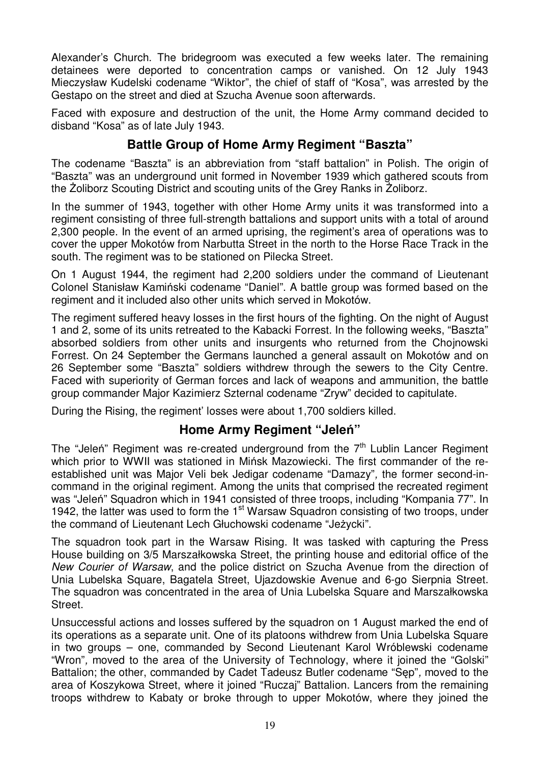Alexander's Church. The bridegroom was executed a few weeks later. The remaining detainees were deported to concentration camps or vanished. On 12 July 1943 Mieczysław Kudelski codename "Wiktor", the chief of staff of "Kosa", was arrested by the Gestapo on the street and died at Szucha Avenue soon afterwards.

Faced with exposure and destruction of the unit, the Home Army command decided to disband "Kosa" as of late July 1943.

### **Battle Group of Home Army Regiment "Baszta"**

The codename "Baszta" is an abbreviation from "staff battalion" in Polish. The origin of "Baszta" was an underground unit formed in November 1939 which gathered scouts from the Zoliborz Scouting District and scouting units of the Grey Ranks in Zoliborz.

In the summer of 1943, together with other Home Army units it was transformed into a regiment consisting of three full-strength battalions and support units with a total of around 2,300 people. In the event of an armed uprising, the regiment's area of operations was to cover the upper Mokotów from Narbutta Street in the north to the Horse Race Track in the south. The regiment was to be stationed on Pilecka Street.

On 1 August 1944, the regiment had 2,200 soldiers under the command of Lieutenant Colonel Stanisław Kamiński codename "Daniel". A battle group was formed based on the regiment and it included also other units which served in Mokotów.

The regiment suffered heavy losses in the first hours of the fighting. On the night of August 1 and 2, some of its units retreated to the Kabacki Forrest. In the following weeks, "Baszta" absorbed soldiers from other units and insurgents who returned from the Chojnowski Forrest. On 24 September the Germans launched a general assault on Mokotów and on 26 September some "Baszta" soldiers withdrew through the sewers to the City Centre. Faced with superiority of German forces and lack of weapons and ammunition, the battle group commander Major Kazimierz Szternal codename "Zryw" decided to capitulate.

During the Rising, the regiment' losses were about 1,700 soldiers killed.

#### **Home Army Regiment "Jeleń"**

The "Jelen" Regiment was re-created underground from the  $7<sup>th</sup>$  Lublin Lancer Regiment which prior to WWII was stationed in Mińsk Mazowiecki. The first commander of the reestablished unit was Major Veli bek Jedigar codename "Damazy", the former second-incommand in the original regiment. Among the units that comprised the recreated regiment was "Jeleń" Squadron which in 1941 consisted of three troops, including "Kompania 77". In 1942, the latter was used to form the 1<sup>st</sup> Warsaw Squadron consisting of two troops, under the command of Lieutenant Lech Głuchowski codename "Jeżycki".

The squadron took part in the Warsaw Rising. It was tasked with capturing the Press House building on 3/5 Marszałkowska Street, the printing house and editorial office of the New Courier of Warsaw, and the police district on Szucha Avenue from the direction of Unia Lubelska Square, Bagatela Street, Ujazdowskie Avenue and 6-go Sierpnia Street. The squadron was concentrated in the area of Unia Lubelska Square and Marszałkowska Street.

Unsuccessful actions and losses suffered by the squadron on 1 August marked the end of its operations as a separate unit. One of its platoons withdrew from Unia Lubelska Square in two groups – one, commanded by Second Lieutenant Karol Wróblewski codename "Wron", moved to the area of the University of Technology, where it joined the "Golski" Battalion; the other, commanded by Cadet Tadeusz Butler codename "Sęp", moved to the area of Koszykowa Street, where it joined "Ruczaj" Battalion. Lancers from the remaining troops withdrew to Kabaty or broke through to upper Mokotów, where they joined the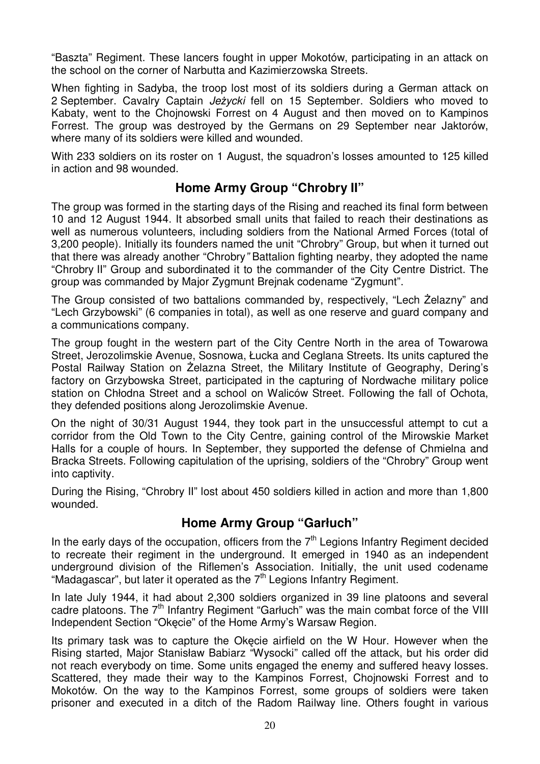"Baszta" Regiment. These lancers fought in upper Mokotów, participating in an attack on the school on the corner of Narbutta and Kazimierzowska Streets.

When fighting in Sadyba, the troop lost most of its soldiers during a German attack on 2 September. Cavalry Captain Jeżycki fell on 15 September. Soldiers who moved to Kabaty, went to the Chojnowski Forrest on 4 August and then moved on to Kampinos Forrest. The group was destroyed by the Germans on 29 September near Jaktorów, where many of its soldiers were killed and wounded.

With 233 soldiers on its roster on 1 August, the squadron's losses amounted to 125 killed in action and 98 wounded.

#### **Home Army Group "Chrobry II"**

The group was formed in the starting days of the Rising and reached its final form between 10 and 12 August 1944. It absorbed small units that failed to reach their destinations as well as numerous volunteers, including soldiers from the National Armed Forces (total of 3,200 people). Initially its founders named the unit "Chrobry" Group, but when it turned out that there was already another "Chrobry" Battalion fighting nearby, they adopted the name "Chrobry II" Group and subordinated it to the commander of the City Centre District. The group was commanded by Major Zygmunt Brejnak codename "Zygmunt".

The Group consisted of two battalions commanded by, respectively, "Lech Żelazny" and "Lech Grzybowski" (6 companies in total), as well as one reserve and guard company and a communications company.

The group fought in the western part of the City Centre North in the area of Towarowa Street, Jerozolimskie Avenue, Sosnowa, Łucka and Ceglana Streets. Its units captured the Postal Railway Station on Żelazna Street, the Military Institute of Geography, Dering's factory on Grzybowska Street, participated in the capturing of Nordwache military police station on Chłodna Street and a school on Waliców Street. Following the fall of Ochota, they defended positions along Jerozolimskie Avenue.

On the night of 30/31 August 1944, they took part in the unsuccessful attempt to cut a corridor from the Old Town to the City Centre, gaining control of the Mirowskie Market Halls for a couple of hours. In September, they supported the defense of Chmielna and Bracka Streets. Following capitulation of the uprising, soldiers of the "Chrobry" Group went into captivity.

During the Rising, "Chrobry II" lost about 450 soldiers killed in action and more than 1,800 wounded.

#### **Home Army Group "Garłuch"**

In the early days of the occupation, officers from the  $7<sup>th</sup>$  Legions Infantry Regiment decided to recreate their regiment in the underground. It emerged in 1940 as an independent underground division of the Riflemen's Association. Initially, the unit used codename "Madagascar", but later it operated as the  $7<sup>th</sup>$  Legions Infantry Regiment.

In late July 1944, it had about 2,300 soldiers organized in 39 line platoons and several cadre platoons. The  $7<sup>th</sup>$  Infantry Regiment "Garluch" was the main combat force of the VIII Independent Section "Okęcie" of the Home Army's Warsaw Region.

Its primary task was to capture the Okęcie airfield on the W Hour. However when the Rising started, Major Stanisław Babiarz "Wysocki" called off the attack, but his order did not reach everybody on time. Some units engaged the enemy and suffered heavy losses. Scattered, they made their way to the Kampinos Forrest, Chojnowski Forrest and to Mokotów. On the way to the Kampinos Forrest, some groups of soldiers were taken prisoner and executed in a ditch of the Radom Railway line. Others fought in various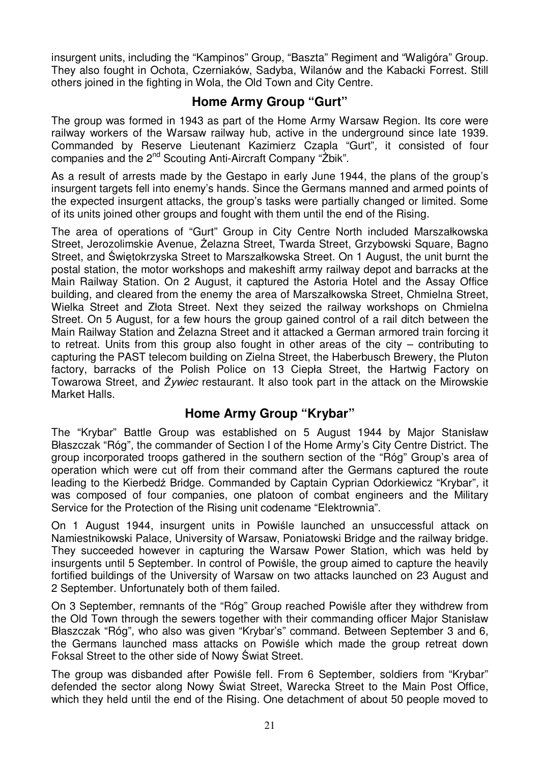insurgent units, including the "Kampinos" Group, "Baszta" Regiment and "Waligóra" Group. They also fought in Ochota, Czerniaków, Sadyba, Wilanów and the Kabacki Forrest. Still others joined in the fighting in Wola, the Old Town and City Centre.

#### **Home Army Group "Gurt"**

The group was formed in 1943 as part of the Home Army Warsaw Region. Its core were railway workers of the Warsaw railway hub, active in the underground since late 1939. Commanded by Reserve Lieutenant Kazimierz Czapla "Gurt", it consisted of four companies and the 2<sup>nd</sup> Scouting Anti-Aircraft Company "Żbik".

As a result of arrests made by the Gestapo in early June 1944, the plans of the group's insurgent targets fell into enemy's hands. Since the Germans manned and armed points of the expected insurgent attacks, the group's tasks were partially changed or limited. Some of its units joined other groups and fought with them until the end of the Rising.

The area of operations of "Gurt" Group in City Centre North included Marszałkowska Street, Jerozolimskie Avenue, Żelazna Street, Twarda Street, Grzybowski Square, Bagno Street, and Świętokrzyska Street to Marszałkowska Street. On 1 August, the unit burnt the postal station, the motor workshops and makeshift army railway depot and barracks at the Main Railway Station. On 2 August, it captured the Astoria Hotel and the Assay Office building, and cleared from the enemy the area of Marszałkowska Street, Chmielna Street, Wielka Street and Złota Street. Next they seized the railway workshops on Chmielna Street. On 5 August, for a few hours the group gained control of a rail ditch between the Main Railway Station and Żelazna Street and it attacked a German armored train forcing it to retreat. Units from this group also fought in other areas of the city – contributing to capturing the PAST telecom building on Zielna Street, the Haberbusch Brewery, the Pluton factory, barracks of the Polish Police on 13 Ciepła Street, the Hartwig Factory on Towarowa Street, and *ś*ywiec restaurant. It also took part in the attack on the Mirowskie Market Halls.

#### **Home Army Group "Krybar"**

The "Krybar" Battle Group was established on 5 August 1944 by Major Stanisław Błaszczak "Róg", the commander of Section I of the Home Army's City Centre District. The group incorporated troops gathered in the southern section of the "Róg" Group's area of operation which were cut off from their command after the Germans captured the route leading to the Kierbedź Bridge. Commanded by Captain Cyprian Odorkiewicz "Krybar", it was composed of four companies, one platoon of combat engineers and the Military Service for the Protection of the Rising unit codename "Elektrownia".

On 1 August 1944, insurgent units in Powiśle launched an unsuccessful attack on Namiestnikowski Palace, University of Warsaw, Poniatowski Bridge and the railway bridge. They succeeded however in capturing the Warsaw Power Station, which was held by insurgents until 5 September. In control of Powiśle, the group aimed to capture the heavily fortified buildings of the University of Warsaw on two attacks launched on 23 August and 2 September. Unfortunately both of them failed.

On 3 September, remnants of the "Róg" Group reached Powiśle after they withdrew from the Old Town through the sewers together with their commanding officer Major Stanisław Błaszczak "Róg", who also was given "Krybar's" command. Between September 3 and 6, the Germans launched mass attacks on Powiśle which made the group retreat down Foksal Street to the other side of Nowy Świat Street.

The group was disbanded after Powiśle fell. From 6 September, soldiers from "Krybar" defended the sector along Nowy Świat Street, Warecka Street to the Main Post Office, which they held until the end of the Rising. One detachment of about 50 people moved to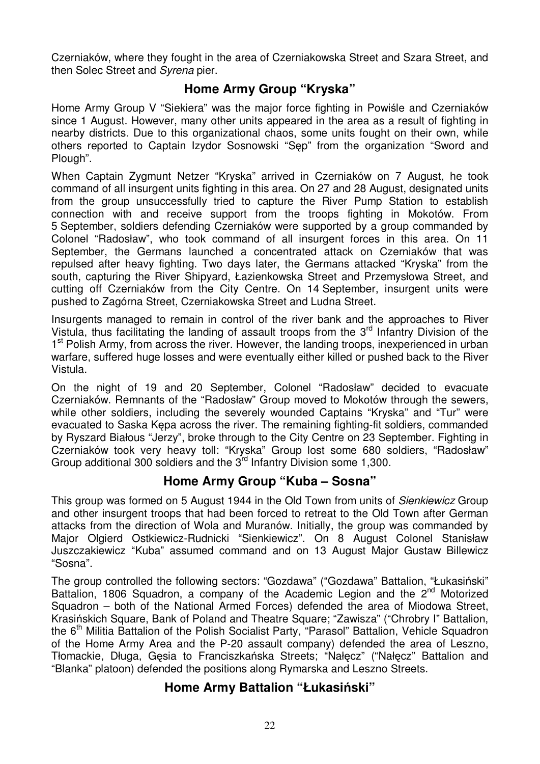Czerniaków, where they fought in the area of Czerniakowska Street and Szara Street, and then Solec Street and Syrena pier.

#### **Home Army Group "Kryska"**

Home Army Group V "Siekiera" was the major force fighting in Powiśle and Czerniaków since 1 August. However, many other units appeared in the area as a result of fighting in nearby districts. Due to this organizational chaos, some units fought on their own, while others reported to Captain Izydor Sosnowski "Sęp" from the organization "Sword and Plough".

When Captain Zygmunt Netzer "Kryska" arrived in Czerniaków on 7 August, he took command of all insurgent units fighting in this area. On 27 and 28 August, designated units from the group unsuccessfully tried to capture the River Pump Station to establish connection with and receive support from the troops fighting in Mokotów. From 5 September, soldiers defending Czerniaków were supported by a group commanded by Colonel "Radosław", who took command of all insurgent forces in this area. On 11 September, the Germans launched a concentrated attack on Czerniaków that was repulsed after heavy fighting. Two days later, the Germans attacked "Kryska" from the south, capturing the River Shipyard, Łazienkowska Street and Przemysłowa Street, and cutting off Czerniaków from the City Centre. On 14 September, insurgent units were pushed to Zagórna Street, Czerniakowska Street and Ludna Street.

Insurgents managed to remain in control of the river bank and the approaches to River Vistula, thus facilitating the landing of assault troops from the 3<sup>rd</sup> Infantry Division of the 1<sup>st</sup> Polish Army, from across the river. However, the landing troops, inexperienced in urban warfare, suffered huge losses and were eventually either killed or pushed back to the River Vistula.

On the night of 19 and 20 September, Colonel "Radosław" decided to evacuate Czerniaków. Remnants of the "Radosław" Group moved to Mokotów through the sewers, while other soldiers, including the severely wounded Captains "Kryska" and "Tur" were evacuated to Saska Kępa across the river. The remaining fighting-fit soldiers, commanded by Ryszard Białous "Jerzy", broke through to the City Centre on 23 September. Fighting in Czerniaków took very heavy toll: "Kryska" Group lost some 680 soldiers, "Radosław" Group additional 300 soldiers and the 3<sup>rd</sup> Infantry Division some 1,300.

#### **Home Army Group "Kuba – Sosna"**

This group was formed on 5 August 1944 in the Old Town from units of Sienkiewicz Group and other insurgent troops that had been forced to retreat to the Old Town after German attacks from the direction of Wola and Muranów. Initially, the group was commanded by Major Olgierd Ostkiewicz-Rudnicki "Sienkiewicz". On 8 August Colonel Stanisław Juszczakiewicz "Kuba" assumed command and on 13 August Major Gustaw Billewicz "Sosna".

The group controlled the following sectors: "Gozdawa" ("Gozdawa" Battalion, "Łukasiński" Battalion, 1806 Squadron, a company of the Academic Legion and the  $2<sup>nd</sup>$  Motorized Squadron – both of the National Armed Forces) defended the area of Miodowa Street, Krasińskich Square, Bank of Poland and Theatre Square; "Zawisza" ("Chrobry I" Battalion, the 6<sup>th</sup> Militia Battalion of the Polish Socialist Party, "Parasol" Battalion, Vehicle Squadron of the Home Army Area and the P-20 assault company) defended the area of Leszno, Tłomackie, Długa, Gęsia to Franciszkańska Streets; "Nałęcz" ("Nałęcz" Battalion and "Blanka" platoon) defended the positions along Rymarska and Leszno Streets.

#### **Home Army Battalion "Łukasiński"**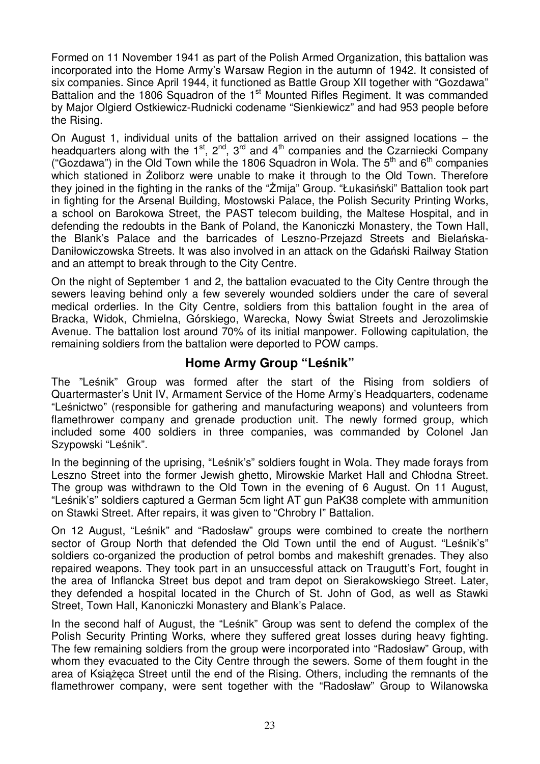Formed on 11 November 1941 as part of the Polish Armed Organization, this battalion was incorporated into the Home Army's Warsaw Region in the autumn of 1942. It consisted of six companies. Since April 1944, it functioned as Battle Group XII together with "Gozdawa" Battalion and the 1806 Squadron of the 1<sup>st</sup> Mounted Rifles Regiment. It was commanded by Major Olgierd Ostkiewicz-Rudnicki codename "Sienkiewicz" and had 953 people before the Rising.

On August 1, individual units of the battalion arrived on their assigned locations – the headquarters along with the 1<sup>st</sup>, 2<sup>nd</sup>, 3<sup>rd</sup> and 4<sup>th</sup> companies and the Czarniecki Company ("Gozdawa") in the Old Town while the 1806 Squadron in Wola. The  $5<sup>th</sup>$  and  $6<sup>th</sup>$  companies which stationed in Żoliborz were unable to make it through to the Old Town. Therefore they joined in the fighting in the ranks of the "Żmija" Group. "Łukasiński" Battalion took part in fighting for the Arsenal Building, Mostowski Palace, the Polish Security Printing Works, a school on Barokowa Street, the PAST telecom building, the Maltese Hospital, and in defending the redoubts in the Bank of Poland, the Kanoniczki Monastery, the Town Hall, the Blank's Palace and the barricades of Leszno-Przejazd Streets and Bielańska-Daniłowiczowska Streets. It was also involved in an attack on the Gdański Railway Station and an attempt to break through to the City Centre.

On the night of September 1 and 2, the battalion evacuated to the City Centre through the sewers leaving behind only a few severely wounded soldiers under the care of several medical orderlies. In the City Centre, soldiers from this battalion fought in the area of Bracka, Widok, Chmielna, Górskiego, Warecka, Nowy Świat Streets and Jerozolimskie Avenue. The battalion lost around 70% of its initial manpower. Following capitulation, the remaining soldiers from the battalion were deported to POW camps.

#### **Home Army Group "Leśnik"**

The "Leśnik" Group was formed after the start of the Rising from soldiers of Quartermaster's Unit IV, Armament Service of the Home Army's Headquarters, codename "Leśnictwo" (responsible for gathering and manufacturing weapons) and volunteers from flamethrower company and grenade production unit. The newly formed group, which included some 400 soldiers in three companies, was commanded by Colonel Jan Szypowski "Leśnik".

In the beginning of the uprising, "Leśnik's" soldiers fought in Wola. They made forays from Leszno Street into the former Jewish ghetto, Mirowskie Market Hall and Chłodna Street. The group was withdrawn to the Old Town in the evening of 6 August. On 11 August, "Leśnik's" soldiers captured a German 5cm light AT gun PaK38 complete with ammunition on Stawki Street. After repairs, it was given to "Chrobry I" Battalion.

On 12 August, "Leśnik" and "Radosław" groups were combined to create the northern sector of Group North that defended the Old Town until the end of August. "Leśnik's" soldiers co-organized the production of petrol bombs and makeshift grenades. They also repaired weapons. They took part in an unsuccessful attack on Traugutt's Fort, fought in the area of Inflancka Street bus depot and tram depot on Sierakowskiego Street. Later, they defended a hospital located in the Church of St. John of God, as well as Stawki Street, Town Hall, Kanoniczki Monastery and Blank's Palace.

In the second half of August, the "Leśnik" Group was sent to defend the complex of the Polish Security Printing Works, where they suffered great losses during heavy fighting. The few remaining soldiers from the group were incorporated into "Radosław" Group, with whom they evacuated to the City Centre through the sewers. Some of them fought in the area of Książęca Street until the end of the Rising. Others, including the remnants of the flamethrower company, were sent together with the "Radosław" Group to Wilanowska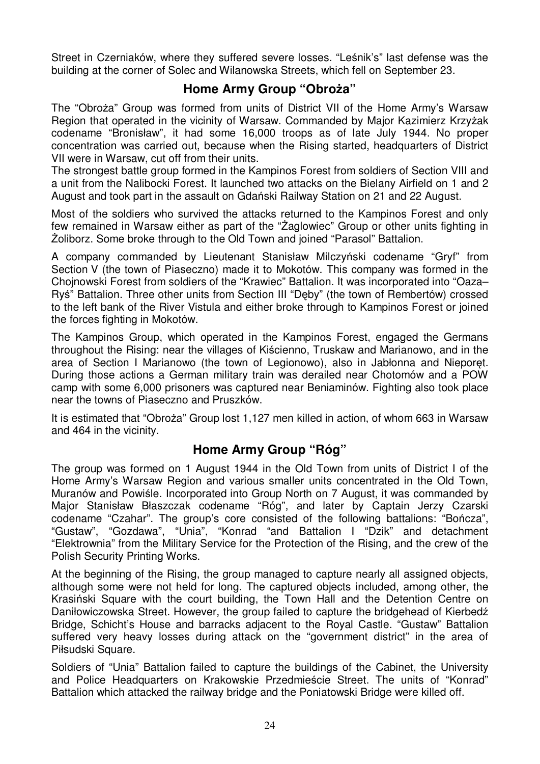Street in Czerniaków, where they suffered severe losses. "Leśnik's" last defense was the building at the corner of Solec and Wilanowska Streets, which fell on September 23.

#### **Home Army Group "Obroża"**

The "Obroża" Group was formed from units of District VII of the Home Army's Warsaw Region that operated in the vicinity of Warsaw. Commanded by Major Kazimierz Krzyżak codename "Bronisław", it had some 16,000 troops as of late July 1944. No proper concentration was carried out, because when the Rising started, headquarters of District VII were in Warsaw, cut off from their units.

The strongest battle group formed in the Kampinos Forest from soldiers of Section VIII and a unit from the Nalibocki Forest. It launched two attacks on the Bielany Airfield on 1 and 2 August and took part in the assault on Gdański Railway Station on 21 and 22 August.

Most of the soldiers who survived the attacks returned to the Kampinos Forest and only few remained in Warsaw either as part of the "Żaglowiec" Group or other units fighting in śoliborz. Some broke through to the Old Town and joined "Parasol" Battalion.

A company commanded by Lieutenant Stanisław Milczyński codename "Gryf" from Section V (the town of Piaseczno) made it to Mokotów. This company was formed in the Chojnowski Forest from soldiers of the "Krawiec" Battalion. It was incorporated into "Oaza– Ryś" Battalion. Three other units from Section III "Dęby" (the town of Rembertów) crossed to the left bank of the River Vistula and either broke through to Kampinos Forest or joined the forces fighting in Mokotów.

The Kampinos Group, which operated in the Kampinos Forest, engaged the Germans throughout the Rising: near the villages of Kiścienno, Truskaw and Marianowo, and in the area of Section I Marianowo (the town of Legionowo), also in Jabłonna and Nieporęt. During those actions a German military train was derailed near Chotomów and a POW camp with some 6,000 prisoners was captured near Beniaminów. Fighting also took place near the towns of Piaseczno and Pruszków.

It is estimated that "Obroża" Group lost 1,127 men killed in action, of whom 663 in Warsaw and 464 in the vicinity.

#### **Home Army Group "Róg"**

The group was formed on 1 August 1944 in the Old Town from units of District I of the Home Army's Warsaw Region and various smaller units concentrated in the Old Town, Muranów and Powiśle. Incorporated into Group North on 7 August, it was commanded by Major Stanisław Błaszczak codename "Róg", and later by Captain Jerzy Czarski codename "Czahar". The group's core consisted of the following battalions: "Bończa", "Gustaw", "Gozdawa", "Unia", "Konrad "and Battalion I "Dzik" and detachment "Elektrownia" from the Military Service for the Protection of the Rising, and the crew of the Polish Security Printing Works.

At the beginning of the Rising, the group managed to capture nearly all assigned objects, although some were not held for long. The captured objects included, among other, the Krasiński Square with the court building, the Town Hall and the Detention Centre on Daniłowiczowska Street. However, the group failed to capture the bridgehead of Kierbedź Bridge, Schicht's House and barracks adjacent to the Royal Castle. "Gustaw" Battalion suffered very heavy losses during attack on the "government district" in the area of Piłsudski Square.

Soldiers of "Unia" Battalion failed to capture the buildings of the Cabinet, the University and Police Headquarters on Krakowskie Przedmieście Street. The units of "Konrad" Battalion which attacked the railway bridge and the Poniatowski Bridge were killed off.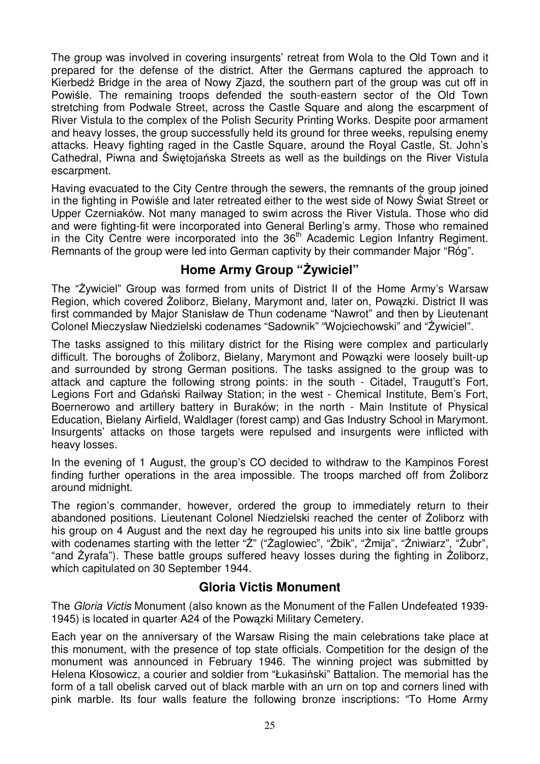The group was involved in covering insurgents' retreat from Wola to the Old Town and it prepared for the defense of the district. After the Germans captured the approach to Kierbedź Bridge in the area of Nowy Zjazd, the southern part of the group was cut off in Powiśle. The remaining troops defended the south-eastern sector of the Old Town stretching from Podwale Street, across the Castle Square and along the escarpment of River Vistula to the complex of the Polish Security Printing Works. Despite poor armament and heavy losses, the group successfully held its ground for three weeks, repulsing enemy attacks. Heavy fighting raged in the Castle Square, around the Royal Castle, St. John's Cathedral, Piwna and Świętojańska Streets as well as the buildings on the River Vistula escarpment.

Having evacuated to the City Centre through the sewers, the remnants of the group joined in the fighting in Powiśle and later retreated either to the west side of Nowy Świat Street or Upper Czerniaków. Not many managed to swim across the River Vistula. Those who did and were fighting-fit were incorporated into General Berling's army. Those who remained in the City Centre were incorporated into the  $36<sup>th</sup>$  Academic Legion Infantry Regiment. Remnants of the group were led into German captivity by their commander Major "Róg".

# **Home Army Group "śywiciel"**

The "Żywiciel" Group was formed from units of District II of the Home Army's Warsaw Region, which covered Żoliborz, Bielany, Marymont and, later on, Powązki. District II was first commanded by Major Stanisław de Thun codename "Nawrot" and then by Lieutenant Colonel Mieczysław Niedzielski codenames "Sadownik" "Wojciechowski" and "Żywiciel".

The tasks assigned to this military district for the Rising were complex and particularly difficult. The boroughs of *Zoliborz*, Bielany, Marymont and Powazki were loosely built-up and surrounded by strong German positions. The tasks assigned to the group was to attack and capture the following strong points: in the south - Citadel, Traugutt's Fort, Legions Fort and Gdański Railway Station; in the west - Chemical Institute, Bem's Fort, Boernerowo and artillery battery in Buraków; in the north - Main Institute of Physical Education, Bielany Airfield, Waldlager (forest camp) and Gas Industry School in Marymont. Insurgents' attacks on those targets were repulsed and insurgents were inflicted with heavy losses.

In the evening of 1 August, the group's CO decided to withdraw to the Kampinos Forest finding further operations in the area impossible. The troops marched off from Zoliborz around midnight.

The region's commander, however, ordered the group to immediately return to their abandoned positions. Lieutenant Colonel Niedzielski reached the center of Żoliborz with his group on 4 August and the next day he regrouped his units into six line battle groups with codenames starting with the letter "Ż" ("Żaglowiec", "Żbik", "Żmija", "Żniwiarz", "Żubr", "and Żyrafa"). These battle groups suffered heavy losses during the fighting in Żoliborz, which capitulated on 30 September 1944.

#### **Gloria Victis Monument**

The Gloria Victis Monument (also known as the Monument of the Fallen Undefeated 1939- 1945) is located in quarter A24 of the Powązki Military Cemetery.

Each year on the anniversary of the Warsaw Rising the main celebrations take place at this monument, with the presence of top state officials. Competition for the design of the monument was announced in February 1946. The winning project was submitted by Helena Kłosowicz, a courier and soldier from "Łukasiński" Battalion. The memorial has the form of a tall obelisk carved out of black marble with an urn on top and corners lined with pink marble. Its four walls feature the following bronze inscriptions: "To Home Army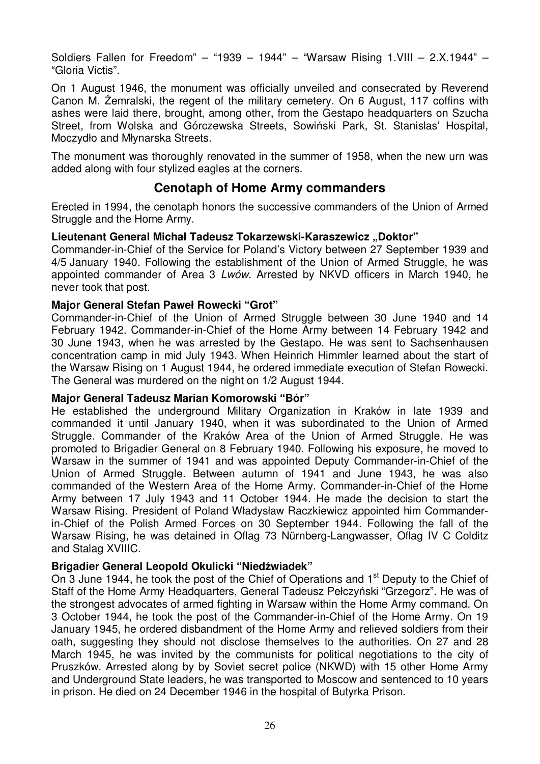Soldiers Fallen for Freedom" – "1939 – 1944" – "Warsaw Rising 1.VIII – 2.X.1944" – "Gloria Victis".

On 1 August 1946, the monument was officially unveiled and consecrated by Reverend Canon M. śemralski, the regent of the military cemetery. On 6 August, 117 coffins with ashes were laid there, brought, among other, from the Gestapo headquarters on Szucha Street, from Wolska and Górczewska Streets, Sowiński Park, St. Stanislas' Hospital, Moczydło and Młynarska Streets.

The monument was thoroughly renovated in the summer of 1958, when the new urn was added along with four stylized eagles at the corners.

#### **Cenotaph of Home Army commanders**

Erected in 1994, the cenotaph honors the successive commanders of the Union of Armed Struggle and the Home Army.

#### Lieutenant General Michał Tadeusz Tokarzewski-Karaszewicz "Doktor"

Commander-in-Chief of the Service for Poland's Victory between 27 September 1939 and 4/5 January 1940. Following the establishment of the Union of Armed Struggle, he was appointed commander of Area 3 Lwów. Arrested by NKVD officers in March 1940, he never took that post.

#### **Major General Stefan Paweł Rowecki "Grot"**

Commander-in-Chief of the Union of Armed Struggle between 30 June 1940 and 14 February 1942. Commander-in-Chief of the Home Army between 14 February 1942 and 30 June 1943, when he was arrested by the Gestapo. He was sent to Sachsenhausen concentration camp in mid July 1943. When Heinrich Himmler learned about the start of the Warsaw Rising on 1 August 1944, he ordered immediate execution of Stefan Rowecki. The General was murdered on the night on 1/2 August 1944.

#### **Major General Tadeusz Marian Komorowski "Bór"**

He established the underground Military Organization in Kraków in late 1939 and commanded it until January 1940, when it was subordinated to the Union of Armed Struggle. Commander of the Kraków Area of the Union of Armed Struggle. He was promoted to Brigadier General on 8 February 1940. Following his exposure, he moved to Warsaw in the summer of 1941 and was appointed Deputy Commander-in-Chief of the Union of Armed Struggle. Between autumn of 1941 and June 1943, he was also commanded of the Western Area of the Home Army. Commander-in-Chief of the Home Army between 17 July 1943 and 11 October 1944. He made the decision to start the Warsaw Rising. President of Poland Władysław Raczkiewicz appointed him Commanderin-Chief of the Polish Armed Forces on 30 September 1944. Following the fall of the Warsaw Rising, he was detained in Oflag 73 Nürnberg-Langwasser, Oflag IV C Colditz and Stalag XVIIIC.

#### **Brigadier General Leopold Okulicki "Niedźwiadek"**

On 3 June 1944, he took the post of the Chief of Operations and 1<sup>st</sup> Deputy to the Chief of Staff of the Home Army Headquarters, General Tadeusz Pełczyński "Grzegorz". He was of the strongest advocates of armed fighting in Warsaw within the Home Army command. On 3 October 1944, he took the post of the Commander-in-Chief of the Home Army. On 19 January 1945, he ordered disbandment of the Home Army and relieved soldiers from their oath, suggesting they should not disclose themselves to the authorities. On 27 and 28 March 1945, he was invited by the communists for political negotiations to the city of Pruszków. Arrested along by by Soviet secret police (NKWD) with 15 other Home Army and Underground State leaders, he was transported to Moscow and sentenced to 10 years in prison. He died on 24 December 1946 in the hospital of Butyrka Prison.